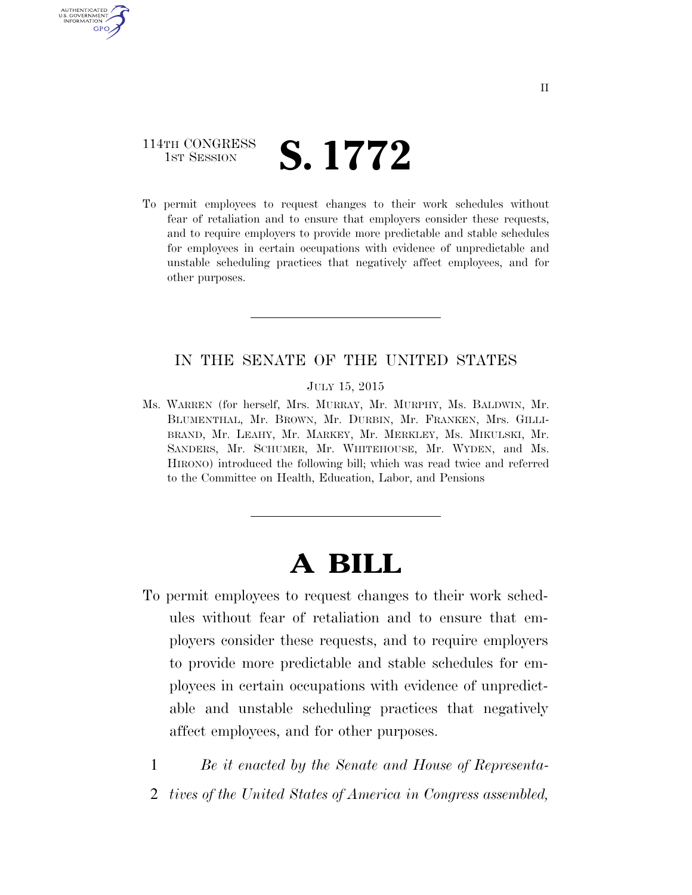# 114TH CONGRESS **1ST SESSION S. 1772**

AUTHENTICATED U.S. GOVERNMENT **GPO** 

> To permit employees to request changes to their work schedules without fear of retaliation and to ensure that employers consider these requests, and to require employers to provide more predictable and stable schedules for employees in certain occupations with evidence of unpredictable and unstable scheduling practices that negatively affect employees, and for other purposes.

#### IN THE SENATE OF THE UNITED STATES

JULY 15, 2015

Ms. WARREN (for herself, Mrs. MURRAY, Mr. MURPHY, Ms. BALDWIN, Mr. BLUMENTHAL, Mr. BROWN, Mr. DURBIN, Mr. FRANKEN, Mrs. GILLI-BRAND, Mr. LEAHY, Mr. MARKEY, Mr. MERKLEY, Ms. MIKULSKI, Mr. SANDERS, Mr. SCHUMER, Mr. WHITEHOUSE, Mr. WYDEN, and Ms. HIRONO) introduced the following bill; which was read twice and referred to the Committee on Health, Education, Labor, and Pensions

# **A BILL**

To permit employees to request changes to their work schedules without fear of retaliation and to ensure that employers consider these requests, and to require employers to provide more predictable and stable schedules for employees in certain occupations with evidence of unpredictable and unstable scheduling practices that negatively affect employees, and for other purposes.

1 *Be it enacted by the Senate and House of Representa-*

2 *tives of the United States of America in Congress assembled,*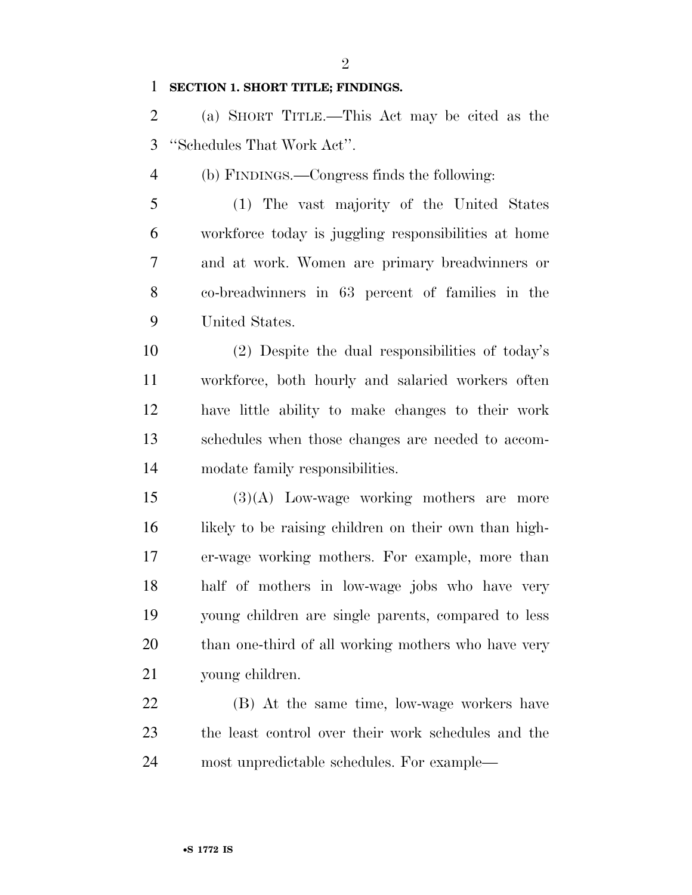$\mathfrak{D}$ 

#### **SECTION 1. SHORT TITLE; FINDINGS.**

 (a) SHORT TITLE.—This Act may be cited as the ''Schedules That Work Act''.

(b) FINDINGS.—Congress finds the following:

 (1) The vast majority of the United States workforce today is juggling responsibilities at home and at work. Women are primary breadwinners or co-breadwinners in 63 percent of families in the United States.

 (2) Despite the dual responsibilities of today's workforce, both hourly and salaried workers often have little ability to make changes to their work schedules when those changes are needed to accom-modate family responsibilities.

 (3)(A) Low-wage working mothers are more 16 likely to be raising children on their own than high- er-wage working mothers. For example, more than half of mothers in low-wage jobs who have very young children are single parents, compared to less than one-third of all working mothers who have very young children.

 (B) At the same time, low-wage workers have the least control over their work schedules and the most unpredictable schedules. For example—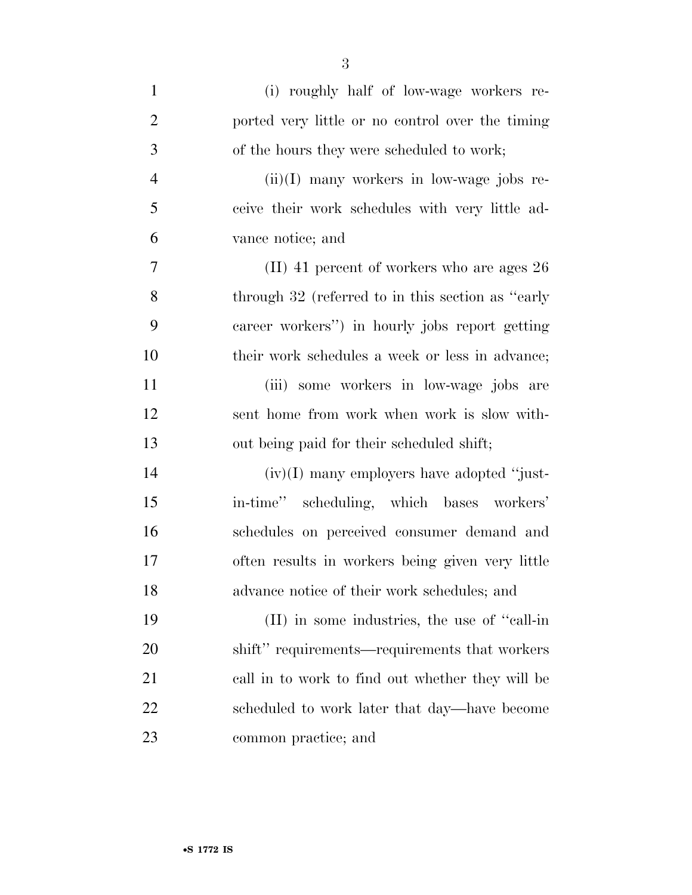| $\mathbf{1}$   | (i) roughly half of low-wage workers re-           |
|----------------|----------------------------------------------------|
| $\overline{2}$ | ported very little or no control over the timing   |
| 3              | of the hours they were scheduled to work;          |
| $\overline{4}$ | $(ii)(I)$ many workers in low-wage jobs re-        |
| 5              | ceive their work schedules with very little ad-    |
| 6              | vance notice; and                                  |
| 7              | $(II)$ 41 percent of workers who are ages 26       |
| 8              | through 32 (referred to in this section as "early" |
| 9              | career workers") in hourly jobs report getting     |
| 10             | their work schedules a week or less in advance;    |
| 11             | (iii) some workers in low-wage jobs are            |
| 12             | sent home from work when work is slow with-        |
| 13             | out being paid for their scheduled shift;          |
| 14             | $(iv)(I)$ many employers have adopted "just-       |
| 15             | in-time" scheduling, which bases workers'          |
| 16             | schedules on perceived consumer demand and         |
| 17             | often results in workers being given very little   |
| 18             | advance notice of their work schedules; and        |
| 19             | (II) in some industries, the use of "call-in"      |
| 20             | shift" requirements—requirements that workers      |
| 21             | call in to work to find out whether they will be   |
| 22             | scheduled to work later that day—have become       |
| 23             | common practice; and                               |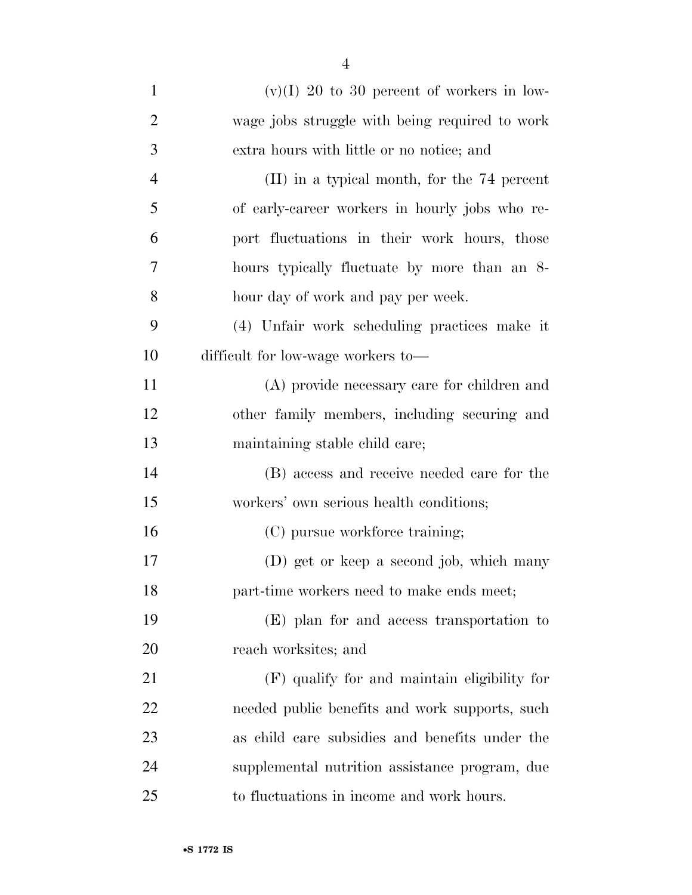| $\mathbf{1}$   | $(v)(I)$ 20 to 30 percent of workers in low-   |
|----------------|------------------------------------------------|
| $\overline{2}$ | wage jobs struggle with being required to work |
| 3              | extra hours with little or no notice; and      |
| $\overline{4}$ | (II) in a typical month, for the 74 percent    |
| 5              | of early-career workers in hourly jobs who re- |
| 6              | port fluctuations in their work hours, those   |
| 7              | hours typically fluctuate by more than an 8-   |
| 8              | hour day of work and pay per week.             |
| 9              | (4) Unfair work scheduling practices make it   |
| 10             | difficult for low-wage workers to-             |
| 11             | (A) provide necessary care for children and    |
| 12             | other family members, including securing and   |
| 13             | maintaining stable child care;                 |
| 14             | (B) access and receive needed care for the     |
| 15             | workers' own serious health conditions;        |
| 16             | (C) pursue workforce training;                 |
| 17             | (D) get or keep a second job, which many       |
| 18             | part-time workers need to make ends meet;      |
| 19             | (E) plan for and access transportation to      |
| 20             | reach worksites; and                           |
| 21             | (F) qualify for and maintain eligibility for   |
| 22             | needed public benefits and work supports, such |
| 23             | as child care subsidies and benefits under the |
| 24             | supplemental nutrition assistance program, due |
| 25             | to fluctuations in income and work hours.      |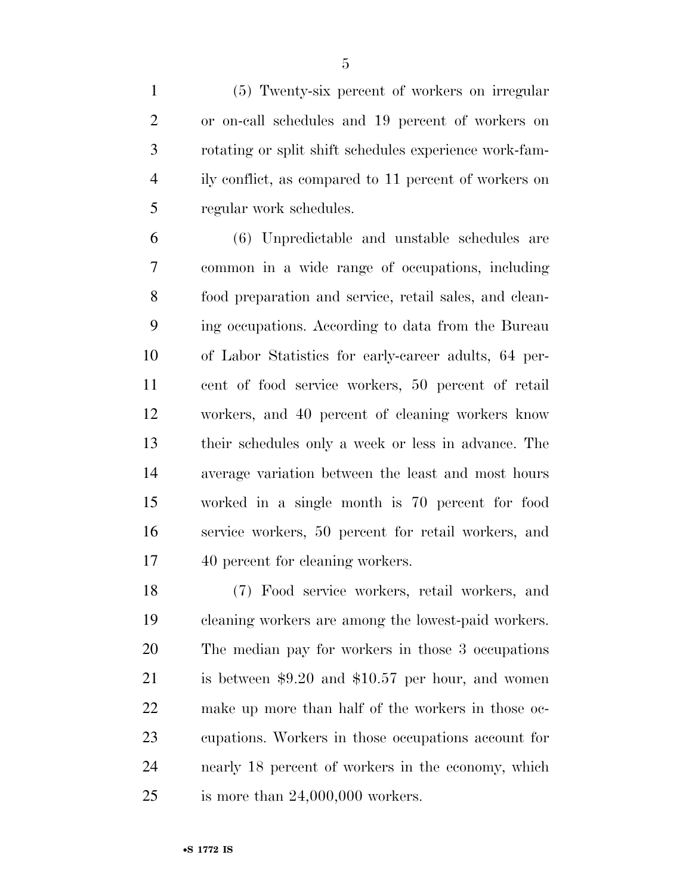(5) Twenty-six percent of workers on irregular or on-call schedules and 19 percent of workers on rotating or split shift schedules experience work-fam- ily conflict, as compared to 11 percent of workers on regular work schedules.

 (6) Unpredictable and unstable schedules are common in a wide range of occupations, including food preparation and service, retail sales, and clean- ing occupations. According to data from the Bureau of Labor Statistics for early-career adults, 64 per- cent of food service workers, 50 percent of retail workers, and 40 percent of cleaning workers know their schedules only a week or less in advance. The average variation between the least and most hours worked in a single month is 70 percent for food service workers, 50 percent for retail workers, and 40 percent for cleaning workers.

 (7) Food service workers, retail workers, and cleaning workers are among the lowest-paid workers. The median pay for workers in those 3 occupations is between \$9.20 and \$10.57 per hour, and women make up more than half of the workers in those oc- cupations. Workers in those occupations account for nearly 18 percent of workers in the economy, which is more than 24,000,000 workers.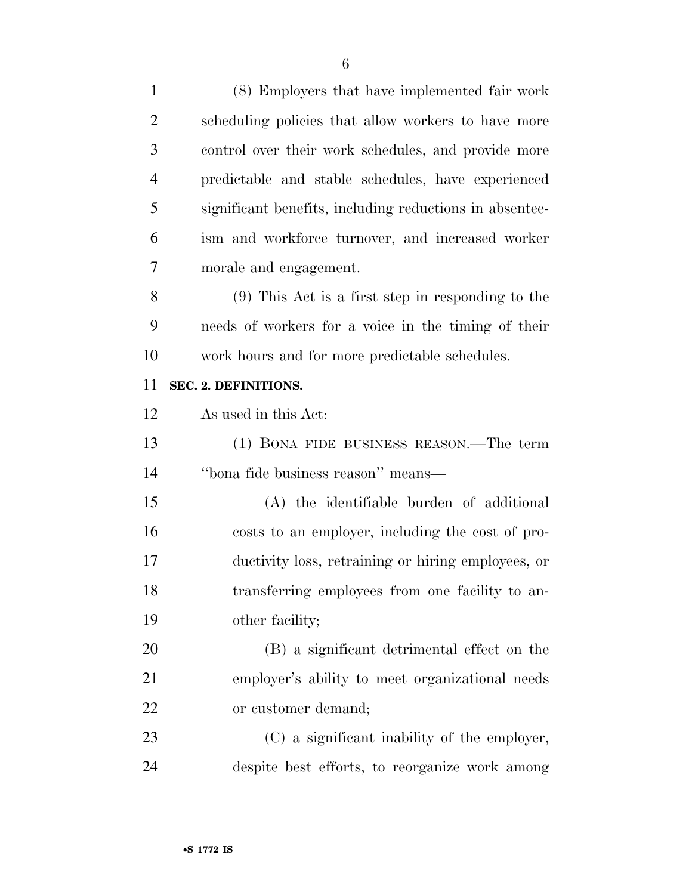| $\mathbf{1}$   | (8) Employers that have implemented fair work           |
|----------------|---------------------------------------------------------|
| $\overline{2}$ | scheduling policies that allow workers to have more     |
| 3              | control over their work schedules, and provide more     |
| $\overline{4}$ | predictable and stable schedules, have experienced      |
| 5              | significant benefits, including reductions in absentee- |
| 6              | ism and workforce turnover, and increased worker        |
| 7              | morale and engagement.                                  |
| 8              | $(9)$ This Act is a first step in responding to the     |
| 9              | needs of workers for a voice in the timing of their     |
| 10             | work hours and for more predictable schedules.          |
| 11             | SEC. 2. DEFINITIONS.                                    |
| 12             | As used in this Act:                                    |
| 13             | (1) BONA FIDE BUSINESS REASON.—The term                 |
|                |                                                         |
| 14             | "bona fide business reason" means—                      |
| 15             | (A) the identifiable burden of additional               |
| 16             | costs to an employer, including the cost of pro-        |
| 17             | ductivity loss, retraining or hiring employees, or      |
| 18             | transferring employees from one facility to an-         |
| 19             | other facility;                                         |
| 20             | (B) a significant detrimental effect on the             |
| 21             | employer's ability to meet organizational needs         |
| 22             | or customer demand;                                     |
| 23             | (C) a significant inability of the employer,            |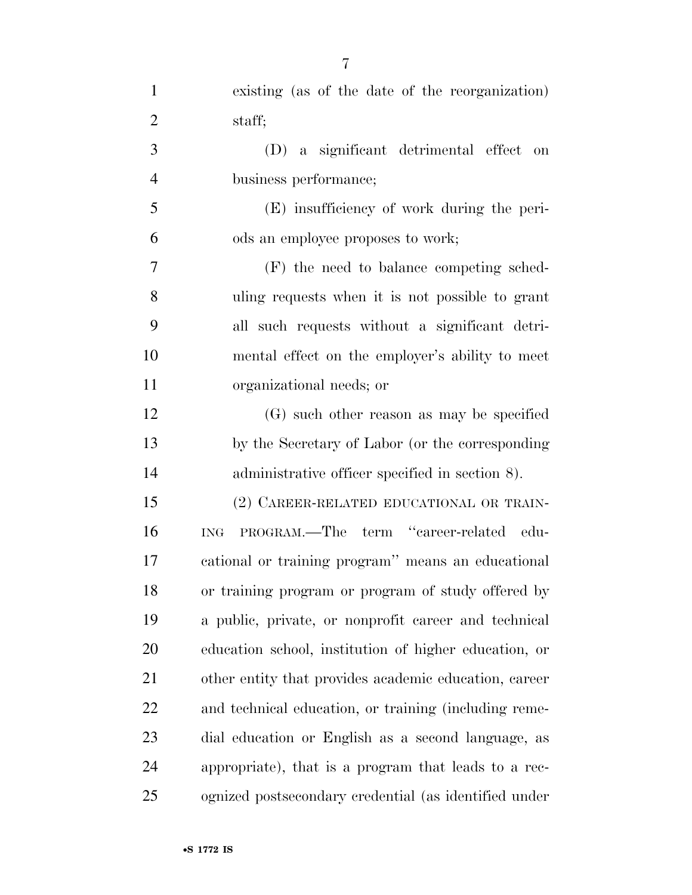| $\mathbf{1}$   | existing (as of the date of the reorganization)       |
|----------------|-------------------------------------------------------|
| $\overline{2}$ | staff;                                                |
| 3              | (D) a significant detrimental effect<br>on            |
| $\overline{4}$ | business performance;                                 |
| 5              | (E) insufficiency of work during the peri-            |
| 6              | ods an employee proposes to work;                     |
| 7              | (F) the need to balance competing sched-              |
| 8              | uling requests when it is not possible to grant       |
| 9              | all such requests without a significant detri-        |
| 10             | mental effect on the employer's ability to meet       |
| 11             | organizational needs; or                              |
| 12             | (G) such other reason as may be specified             |
| 13             | by the Secretary of Labor (or the corresponding       |
| 14             | administrative officer specified in section 8).       |
| 15             | (2) CAREER-RELATED EDUCATIONAL OR TRAIN-              |
| 16             | PROGRAM.—The term "career-related edu-<br><b>ING</b>  |
| 17             | cational or training program" means an educational    |
| 18             | or training program or program of study offered by    |
| 19             | a public, private, or nonprofit career and technical  |
| 20             | education school, institution of higher education, or |
| 21             | other entity that provides academic education, career |
| 22             | and technical education, or training (including reme- |
| 23             | dial education or English as a second language, as    |
| 24             | appropriate), that is a program that leads to a rec-  |
| 25             | ognized postsecondary credential (as identified under |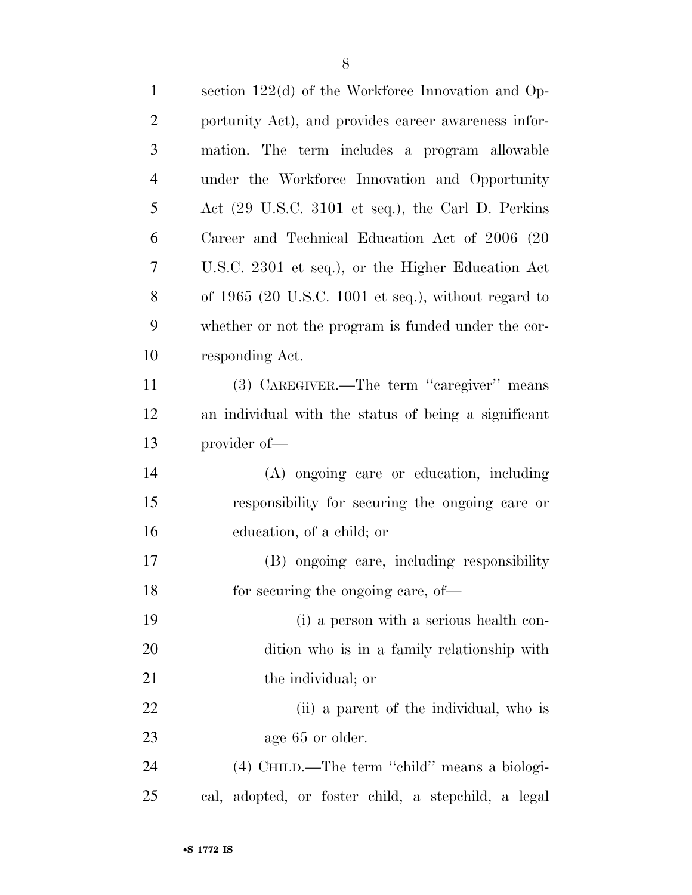| $\mathbf{1}$   | section 122(d) of the Workforce Innovation and Op-    |
|----------------|-------------------------------------------------------|
| $\mathfrak{2}$ | portunity Act), and provides career awareness infor-  |
| $\mathfrak{Z}$ | mation. The term includes a program allowable         |
| $\overline{4}$ | under the Workforce Innovation and Opportunity        |
| 5              | Act (29 U.S.C. 3101 et seq.), the Carl D. Perkins     |
| 6              | Career and Technical Education Act of 2006 (20        |
| 7              | U.S.C. 2301 et seq.), or the Higher Education Act     |
| 8              | of $1965$ (20 U.S.C. 1001 et seq.), without regard to |
| 9              | whether or not the program is funded under the cor-   |
| 10             | responding Act.                                       |
| 11             | (3) CAREGIVER.—The term "caregiver" means             |
| 12             | an individual with the status of being a significant  |
| 13             | provider of-                                          |
| 14             | (A) ongoing care or education, including              |
| 15             | responsibility for securing the ongoing care or       |
| 16             | education, of a child; or                             |
| 17             | (B) ongoing care, including responsibility            |
| 18             | for securing the ongoing care, of—                    |
| 19             | (i) a person with a serious health con-               |
| 20             | dition who is in a family relationship with           |
| 21             | the individual; or                                    |
| 22             | (ii) a parent of the individual, who is               |
| 23             | age 65 or older.                                      |
| 24             | (4) CHILD.—The term "child" means a biologi-          |
| 25             | cal, adopted, or foster child, a stepchild, a legal   |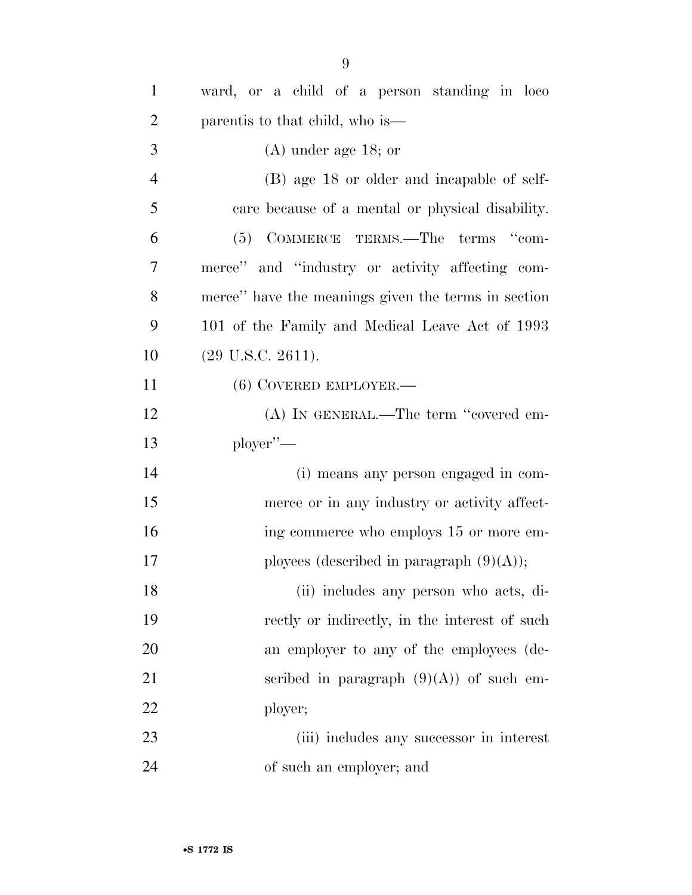| $\mathbf{1}$   | ward, or a child of a person standing in loco       |
|----------------|-----------------------------------------------------|
| $\overline{2}$ | parentis to that child, who is—                     |
| 3              | $(A)$ under age 18; or                              |
| $\overline{4}$ | (B) age 18 or older and incapable of self-          |
| 5              | care because of a mental or physical disability.    |
| 6              | COMMERCE TERMS.—The terms "com-<br>(5)              |
| 7              | merce" and "industry or activity affecting com-     |
| 8              | merce" have the meanings given the terms in section |
| 9              | 101 of the Family and Medical Leave Act of 1993     |
| 10             | $(29 \text{ U.S.C. } 2611).$                        |
| 11             | $(6)$ COVERED EMPLOYER.—                            |
| 12             | (A) IN GENERAL.—The term "covered em-               |
| 13             | $\text{player}$ "—                                  |
| 14             | (i) means any person engaged in com-                |
| 15             | merce or in any industry or activity affect-        |
| 16             | ing commerce who employs 15 or more em-             |
| 17             | ployees (described in paragraph $(9)(A)$ );         |
| 18             | (ii) includes any person who acts, di-              |
| 19             | rectly or indirectly, in the interest of such       |
| 20             | an employer to any of the employees (de-            |
| 21             | scribed in paragraph $(9)(A)$ of such em-           |
| 22             | ployer;                                             |
| 23             | (iii) includes any successor in interest            |
| 24             | of such an employer; and                            |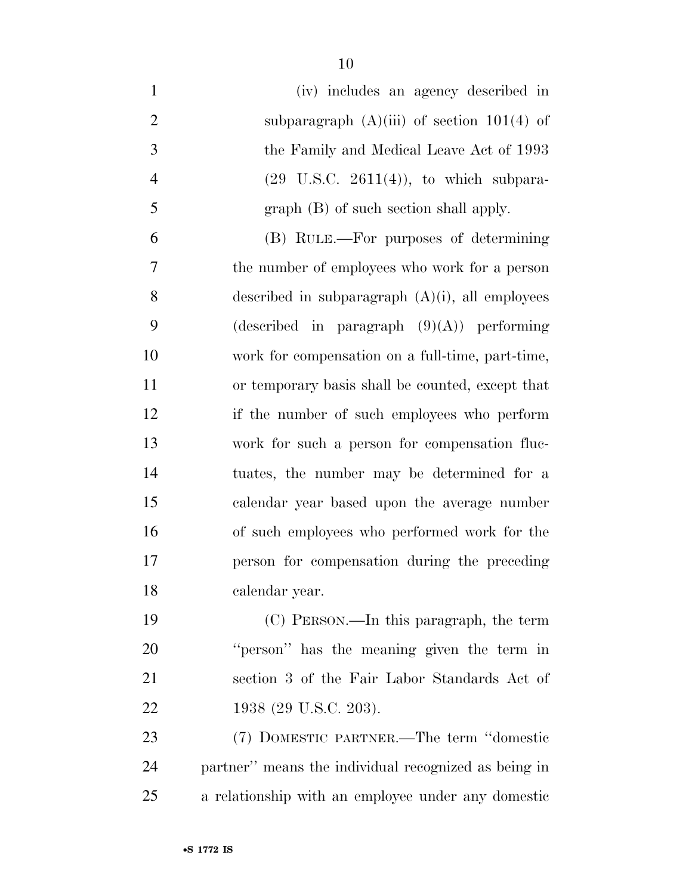| $\mathbf{1}$   | (iv) includes an agency described in                 |
|----------------|------------------------------------------------------|
| $\overline{2}$ | subparagraph $(A)(iii)$ of section 101(4) of         |
| 3              | the Family and Medical Leave Act of 1993             |
| $\overline{4}$ | $(29 \text{ U.S.C. } 2611(4))$ , to which subpara-   |
| 5              | $graph(B)$ of such section shall apply.              |
| 6              | (B) RULE.—For purposes of determining                |
| $\overline{7}$ | the number of employees who work for a person        |
| 8              | described in subparagraph $(A)(i)$ , all employees   |
| 9              | (described in paragraph $(9)(A)$ ) performing        |
| 10             | work for compensation on a full-time, part-time,     |
| 11             | or temporary basis shall be counted, except that     |
| 12             | if the number of such employees who perform          |
| 13             | work for such a person for compensation fluc-        |
| 14             | tuates, the number may be determined for a           |
| 15             | calendar year based upon the average number          |
| 16             | of such employees who performed work for the         |
| 17             | person for compensation during the preceding         |
| 18             | calendar year.                                       |
| 19             | (C) PERSON.—In this paragraph, the term              |
| 20             | "person" has the meaning given the term in           |
| 21             | section 3 of the Fair Labor Standards Act of         |
| 22             | 1938 (29 U.S.C. 203).                                |
| 23             | (7) DOMESTIC PARTNER.—The term "domestic             |
| 24             | partner" means the individual recognized as being in |
| 25             | a relationship with an employee under any domestic   |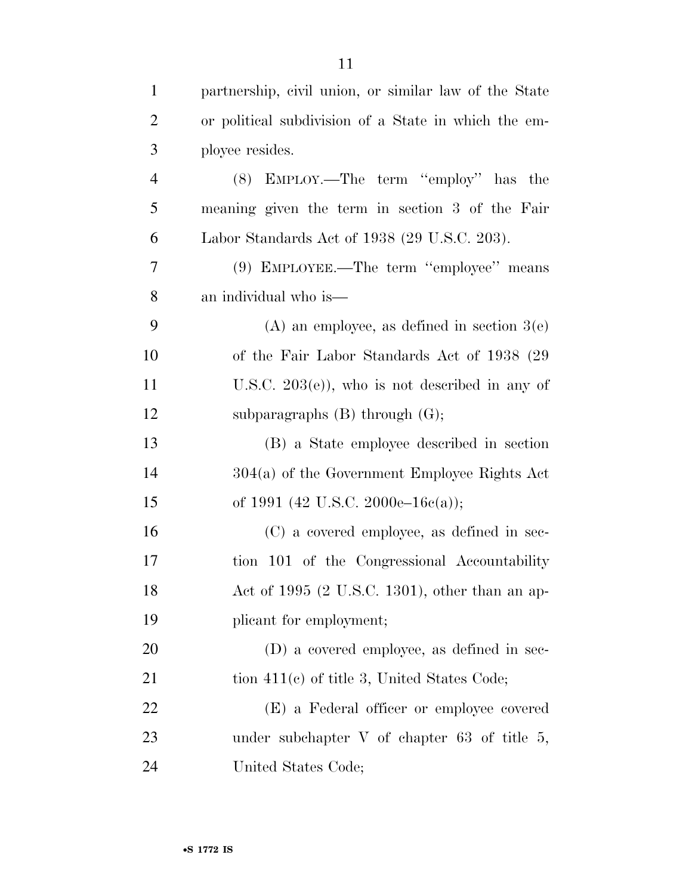| $\mathbf{1}$   | partnership, civil union, or similar law of the State |
|----------------|-------------------------------------------------------|
| $\overline{2}$ | or political subdivision of a State in which the em-  |
| 3              | ployee resides.                                       |
| $\overline{4}$ | (8) EMPLOY.—The term "employ" has the                 |
| 5              | meaning given the term in section 3 of the Fair       |
| 6              | Labor Standards Act of 1938 (29 U.S.C. 203).          |
| 7              | (9) EMPLOYEE.—The term "employee" means               |
| 8              | an individual who is—                                 |
| 9              | $(A)$ an employee, as defined in section $3(e)$       |
| 10             | of the Fair Labor Standards Act of 1938 (29)          |
| 11             | U.S.C. $203(e)$ , who is not described in any of      |
| 12             | subparagraphs $(B)$ through $(G)$ ;                   |
| 13             | (B) a State employee described in section             |
| 14             | $304(a)$ of the Government Employee Rights Act        |
| 15             | of 1991 (42 U.S.C. 2000e–16c(a));                     |
| 16             | (C) a covered employee, as defined in sec-            |
| 17             | tion 101 of the Congressional Accountability          |
| 18             | Act of $1995$ (2 U.S.C. 1301), other than an ap-      |
| 19             | plicant for employment;                               |
| 20             | $(D)$ a covered employee, as defined in sec-          |
| 21             | tion $411(c)$ of title 3, United States Code;         |
| 22             | (E) a Federal officer or employee covered             |
| 23             | under subchapter $V$ of chapter 63 of title 5,        |
| 24             | United States Code;                                   |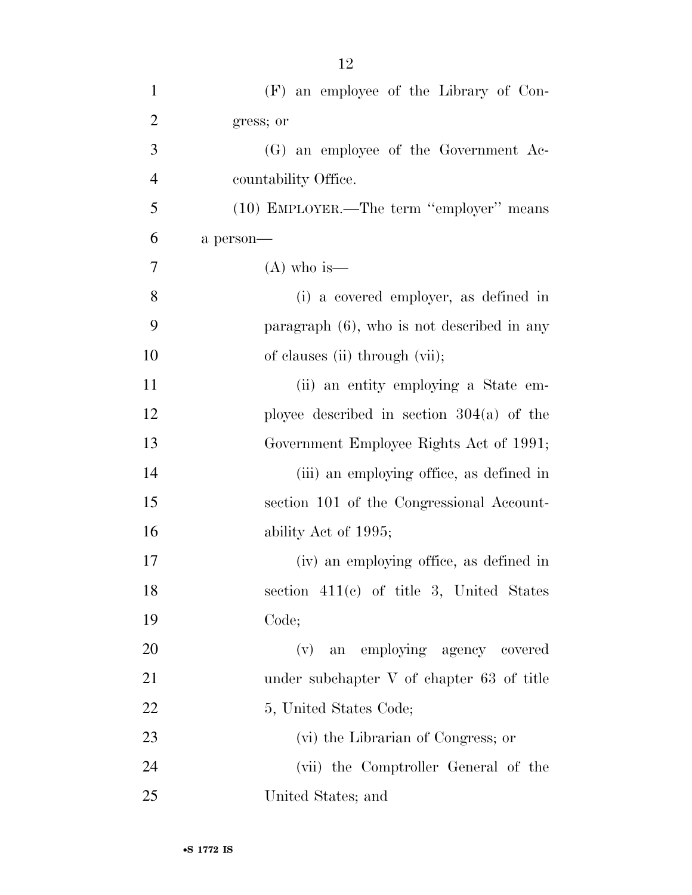| $\mathbf{1}$   | (F) an employee of the Library of Con-        |
|----------------|-----------------------------------------------|
| $\overline{2}$ | gress; or                                     |
| 3              | (G) an employee of the Government Ac-         |
| $\overline{4}$ | countability Office.                          |
| 5              | (10) EMPLOYER.—The term "employer" means      |
| 6              | a person-                                     |
| 7              | $(A)$ who is—                                 |
| 8              | (i) a covered employer, as defined in         |
| 9              | paragraph $(6)$ , who is not described in any |
| 10             | of clauses (ii) through (vii);                |
| 11             | (ii) an entity employing a State em-          |
| 12             | ployee described in section $304(a)$ of the   |
| 13             | Government Employee Rights Act of 1991;       |
| 14             | (iii) an employing office, as defined in      |
| 15             | section 101 of the Congressional Account-     |
| 16             | ability Act of 1995;                          |
| 17             | (iv) an employing office, as defined in       |
| 18             | section $411(c)$ of title 3, United States    |
| 19             | Code;                                         |
| 20             | an employing agency covered<br>(v)            |
| 21             | under subchapter V of chapter 63 of title     |
| 22             | 5, United States Code;                        |
| 23             | (vi) the Librarian of Congress; or            |
| 24             | (vii) the Comptroller General of the          |
| 25             | United States; and                            |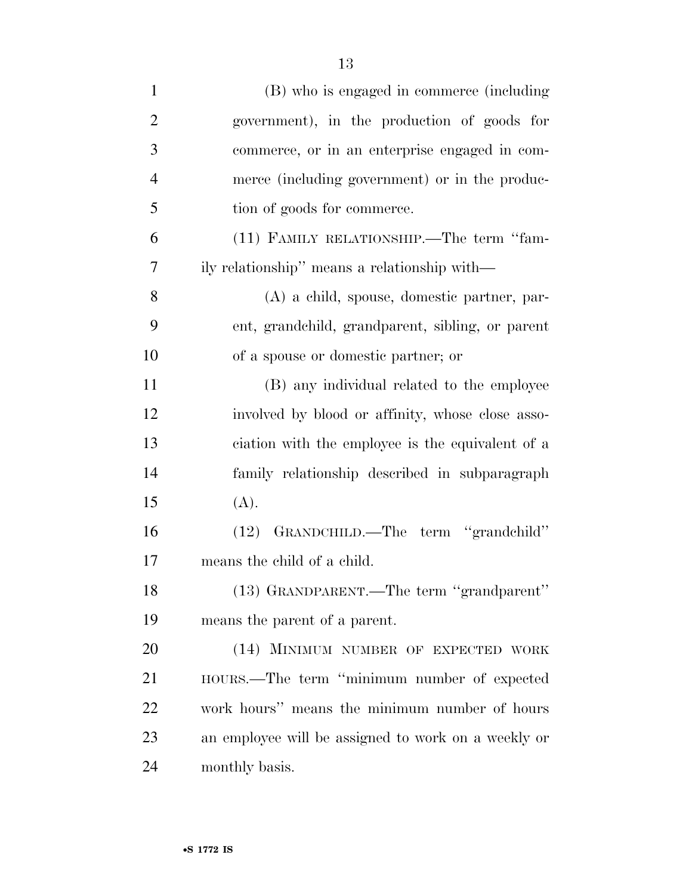| $\mathbf{1}$   | (B) who is engaged in commerce (including           |
|----------------|-----------------------------------------------------|
| $\overline{2}$ | government), in the production of goods for         |
| 3              | commerce, or in an enterprise engaged in com-       |
| $\overline{4}$ | merce (including government) or in the produc-      |
| 5              | tion of goods for commerce.                         |
| 6              | (11) FAMILY RELATIONSHIP.—The term "fam-            |
| 7              | ily relationship" means a relationship with—        |
| 8              | (A) a child, spouse, domestic partner, par-         |
| 9              | ent, grandchild, grandparent, sibling, or parent    |
| 10             | of a spouse or domestic partner; or                 |
| 11             | (B) any individual related to the employee          |
| 12             | involved by blood or affinity, whose close asso-    |
| 13             | ciation with the employee is the equivalent of a    |
| 14             | family relationship described in subparagraph       |
| 15             | (A).                                                |
| 16             | GRANDCHILD.—The term "grandchild"<br>(12)           |
| 17             | means the child of a child.                         |
| 18             | (13) GRANDPARENT.—The term "grandparent"            |
| 19             | means the parent of a parent.                       |
| 20             | (14) MINIMUM NUMBER OF EXPECTED WORK                |
| 21             | HOURS.—The term "minimum number of expected         |
| 22             | work hours" means the minimum number of hours       |
| 23             | an employee will be assigned to work on a weekly or |
| 24             | monthly basis.                                      |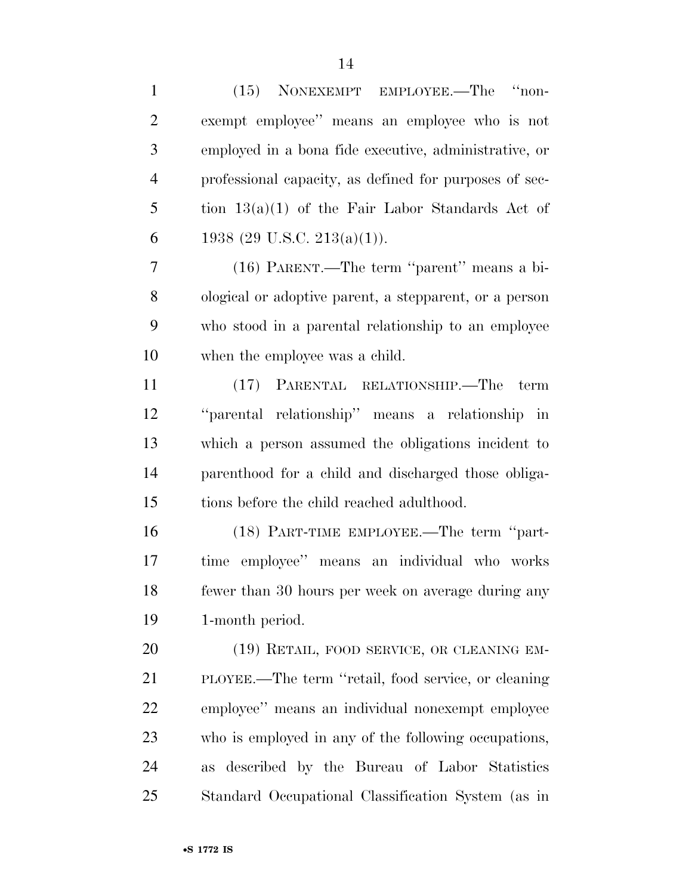| $\mathbf{1}$   | (15) NONEXEMPT EMPLOYEE.—The "non-                       |
|----------------|----------------------------------------------------------|
| $\overline{2}$ | exempt employee" means an employee who is not            |
| 3              | employed in a bona fide executive, administrative, or    |
| $\overline{4}$ | professional capacity, as defined for purposes of sec-   |
| 5              | tion $13(a)(1)$ of the Fair Labor Standards Act of       |
| 6              | 1938 (29 U.S.C. 213(a)(1)).                              |
| 7              | (16) PARENT.—The term "parent" means a bi-               |
| 8              | ological or adoptive parent, a stepparent, or a person   |
| 9              | who stood in a parental relationship to an employee      |
| 10             | when the employee was a child.                           |
| 11             | (17) PARENTAL RELATIONSHIP.—The<br>term                  |
| 12             | "parental relationship" means a relationship in          |
| 13             | which a person assumed the obligations incident to       |
| 14             | parenthood for a child and discharged those obliga-      |
| 15             | tions before the child reached adulthood.                |
| 16             | (18) PART-TIME EMPLOYEE.—The term "part-                 |
| 17             | time employee" means an individual who works             |
| 18             | fewer than 30 hours per week on average during any       |
| 19             | 1-month period.                                          |
| 20             | (19) RETAIL, FOOD SERVICE, OR CLEANING EM-               |
| 21             | PLOYEE.—The term "retail, food service, or cleaning      |
| 22             | employee" means an individual nonexempt employee         |
| 23             | who is employed in any of the following occupations,     |
| 24             | described by the Bureau of Labor Statistics<br><b>as</b> |
| 25             | Standard Occupational Classification System (as in       |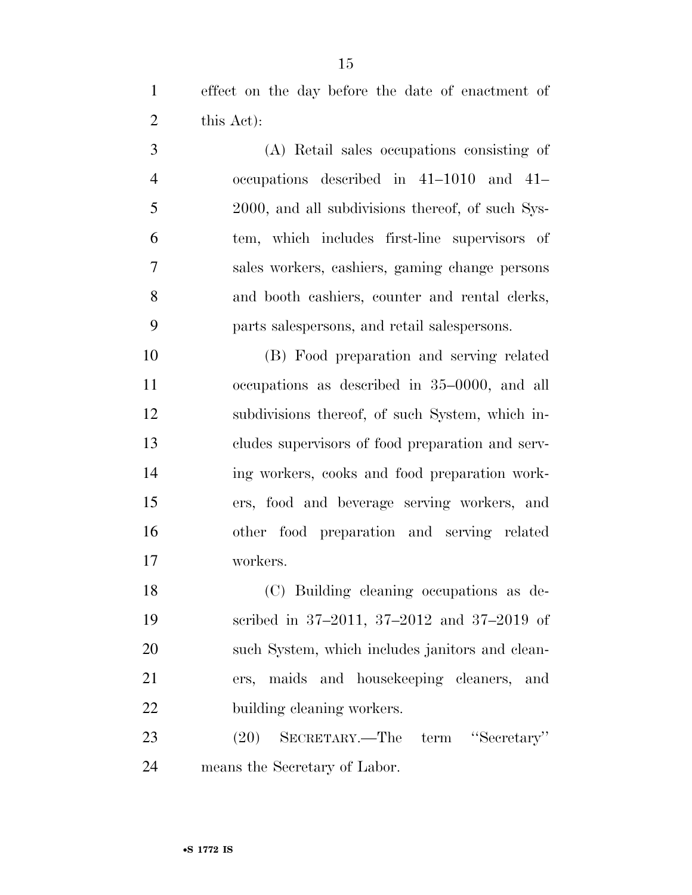effect on the day before the date of enactment of this Act):

 (A) Retail sales occupations consisting of occupations described in 41–1010 and 41– 2000, and all subdivisions thereof, of such Sys- tem, which includes first-line supervisors of sales workers, cashiers, gaming change persons and booth cashiers, counter and rental clerks, parts salespersons, and retail salespersons.

 (B) Food preparation and serving related occupations as described in 35–0000, and all subdivisions thereof, of such System, which in- cludes supervisors of food preparation and serv- ing workers, cooks and food preparation work- ers, food and beverage serving workers, and other food preparation and serving related workers.

 (C) Building cleaning occupations as de- scribed in 37–2011, 37–2012 and 37–2019 of such System, which includes janitors and clean- ers, maids and housekeeping cleaners, and 22 building cleaning workers.

 (20) SECRETARY.—The term ''Secretary'' means the Secretary of Labor.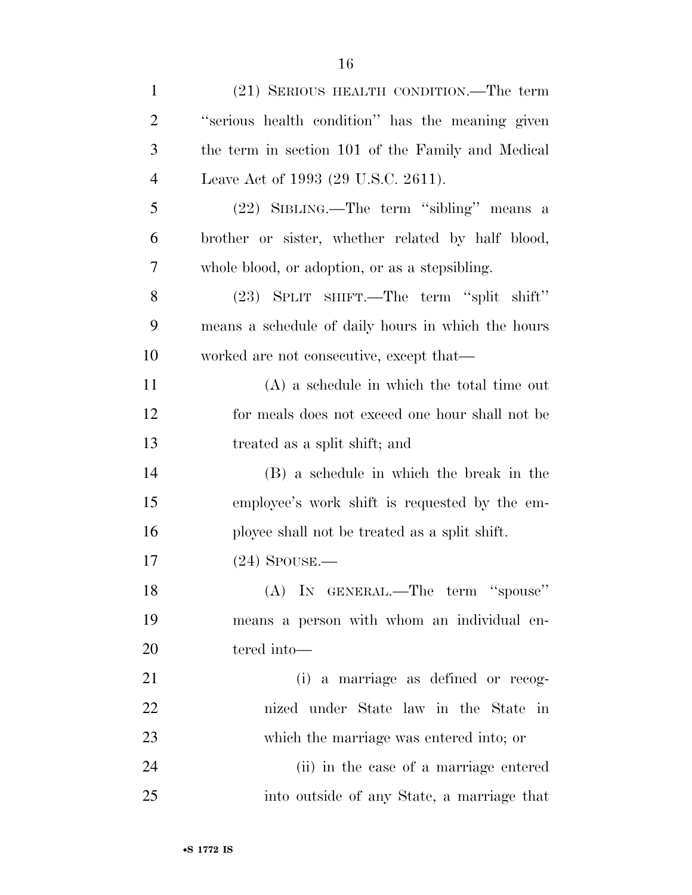| $\mathbf{1}$   | (21) SERIOUS HEALTH CONDITION.—The term            |
|----------------|----------------------------------------------------|
| $\overline{2}$ | "serious health condition" has the meaning given   |
| 3              | the term in section 101 of the Family and Medical  |
| $\overline{4}$ | Leave Act of 1993 (29 U.S.C. 2611).                |
| 5              | (22) SIBLING.—The term "sibling" means a           |
| 6              | brother or sister, whether related by half blood,  |
| 7              | whole blood, or adoption, or as a stepsibling.     |
| 8              | (23) SPLIT SHIFT.—The term "split shift"           |
| 9              | means a schedule of daily hours in which the hours |
| 10             | worked are not consecutive, except that—           |
| 11             | $(A)$ a schedule in which the total time out       |
| 12             | for meals does not exceed one hour shall not be    |
| 13             | treated as a split shift; and                      |
| 14             | (B) a schedule in which the break in the           |
| 15             | employee's work shift is requested by the em-      |
| 16             | ployee shall not be treated as a split shift.      |
| 17             | $(24)$ SPOUSE.—                                    |
| 18             | (A) IN GENERAL.—The term "spouse"                  |
| 19             | means a person with whom an individual en-         |
| 20             | tered into-                                        |
| 21             | (i) a marriage as defined or recog-                |
| 22             | nized under State law in the State in              |
| 23             | which the marriage was entered into; or            |
| 24             | (ii) in the case of a marriage entered             |
| 25             | into outside of any State, a marriage that         |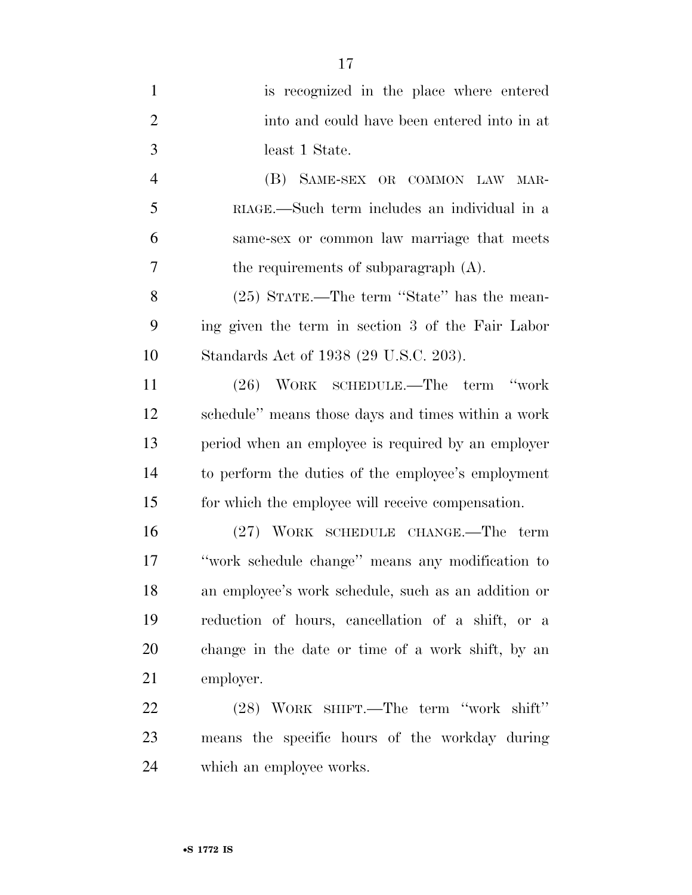| $\mathbf{1}$   | is recognized in the place where entered            |
|----------------|-----------------------------------------------------|
| $\overline{2}$ | into and could have been entered into in at         |
| 3              | least 1 State.                                      |
| $\overline{4}$ | (B) SAME-SEX OR COMMON LAW MAR-                     |
| 5              | RIAGE.—Such term includes an individual in a        |
| 6              | same-sex or common law marriage that meets          |
| 7              | the requirements of subparagraph (A).               |
| 8              | (25) STATE.—The term "State" has the mean-          |
| 9              | ing given the term in section 3 of the Fair Labor   |
| 10             | Standards Act of 1938 (29 U.S.C. 203).              |
| 11             | (26) WORK SCHEDULE.—The term "work                  |
| 12             | schedule" means those days and times within a work  |
| 13             | period when an employee is required by an employer  |
| 14             | to perform the duties of the employee's employment  |
| 15             | for which the employee will receive compensation.   |
| 16             | (27) WORK SCHEDULE CHANGE.—The term                 |
| 17             | "work schedule change" means any modification to    |
| 18             | an employee's work schedule, such as an addition or |
| 19             | reduction of hours, cancellation of a shift, or a   |
| 20             | change in the date or time of a work shift, by an   |
| 21             | employer.                                           |
| 22             | (28) WORK SHIFT.—The term "work shift"              |
| 23             | means the specific hours of the workday during      |

which an employee works.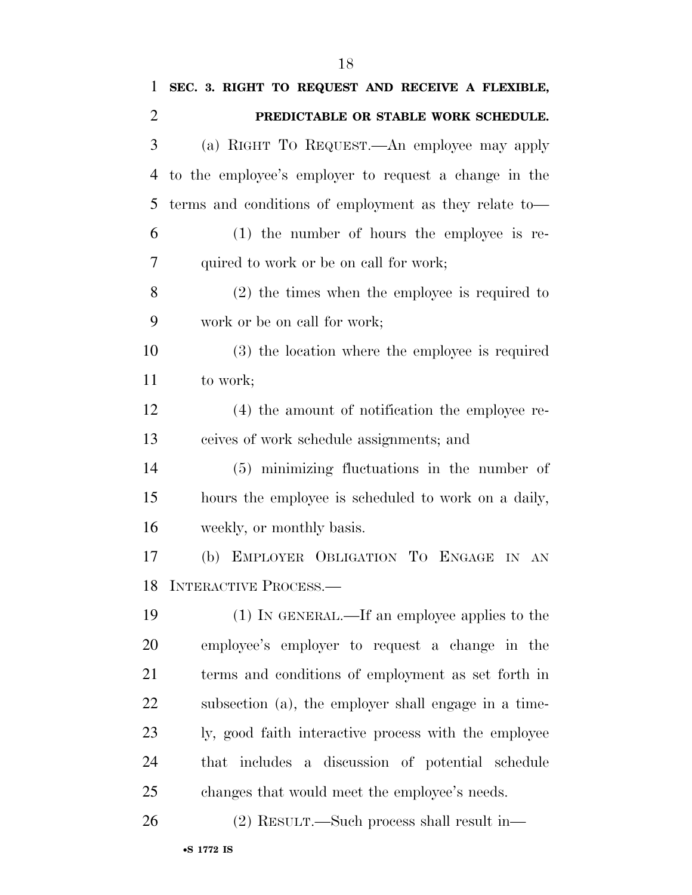| 1              | SEC. 3. RIGHT TO REQUEST AND RECEIVE A FLEXIBLE,      |
|----------------|-------------------------------------------------------|
| $\overline{2}$ | PREDICTABLE OR STABLE WORK SCHEDULE.                  |
| 3              | (a) RIGHT TO REQUEST.—An employee may apply           |
| 4              | to the employee's employer to request a change in the |
| 5              | terms and conditions of employment as they relate to  |
| 6              | $(1)$ the number of hours the employee is re-         |
| 7              | quired to work or be on call for work;                |
| 8              | $(2)$ the times when the employee is required to      |
| 9              | work or be on call for work;                          |
| 10             | (3) the location where the employee is required       |
| 11             | to work;                                              |
| 12             | (4) the amount of notification the employee re-       |
| 13             | ceives of work schedule assignments; and              |
| 14             | (5) minimizing fluctuations in the number of          |
| 15             | hours the employee is scheduled to work on a daily,   |
| 16             | weekly, or monthly basis.                             |
| 17             | (b) EMPLOYER OBLIGATION TO ENGAGE IN AN               |
|                | 18 INTERACTIVE PROCESS.                               |
| 19             | (1) IN GENERAL.—If an employee applies to the         |
| 20             | employee's employer to request a change in the        |
| 21             | terms and conditions of employment as set forth in    |
| 22             | subsection (a), the employer shall engage in a time-  |
| 23             | ly, good faith interactive process with the employee  |
| 24             | that includes a discussion of potential schedule      |
| 25             | changes that would meet the employee's needs.         |
| 26             | $(2)$ RESULT.—Such process shall result in—           |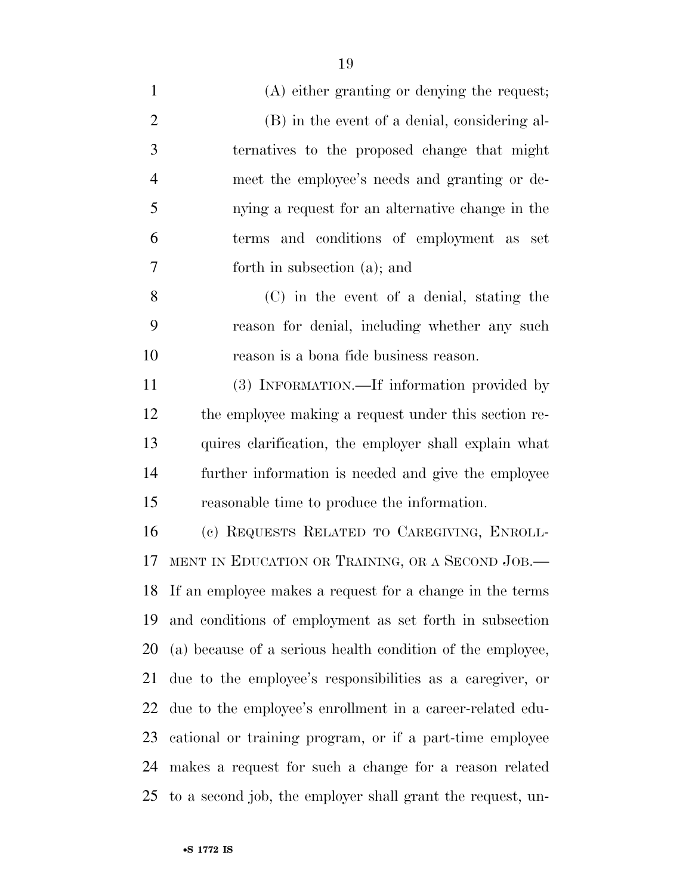(A) either granting or denying the request; (B) in the event of a denial, considering al- ternatives to the proposed change that might meet the employee's needs and granting or de- nying a request for an alternative change in the terms and conditions of employment as set forth in subsection (a); and (C) in the event of a denial, stating the reason for denial, including whether any such reason is a bona fide business reason. (3) INFORMATION.—If information provided by the employee making a request under this section re- quires clarification, the employer shall explain what further information is needed and give the employee

 (c) REQUESTS RELATED TO CAREGIVING, ENROLL- MENT IN EDUCATION OR TRAINING, OR A SECOND JOB.— If an employee makes a request for a change in the terms and conditions of employment as set forth in subsection (a) because of a serious health condition of the employee, due to the employee's responsibilities as a caregiver, or due to the employee's enrollment in a career-related edu- cational or training program, or if a part-time employee makes a request for such a change for a reason related to a second job, the employer shall grant the request, un-

reasonable time to produce the information.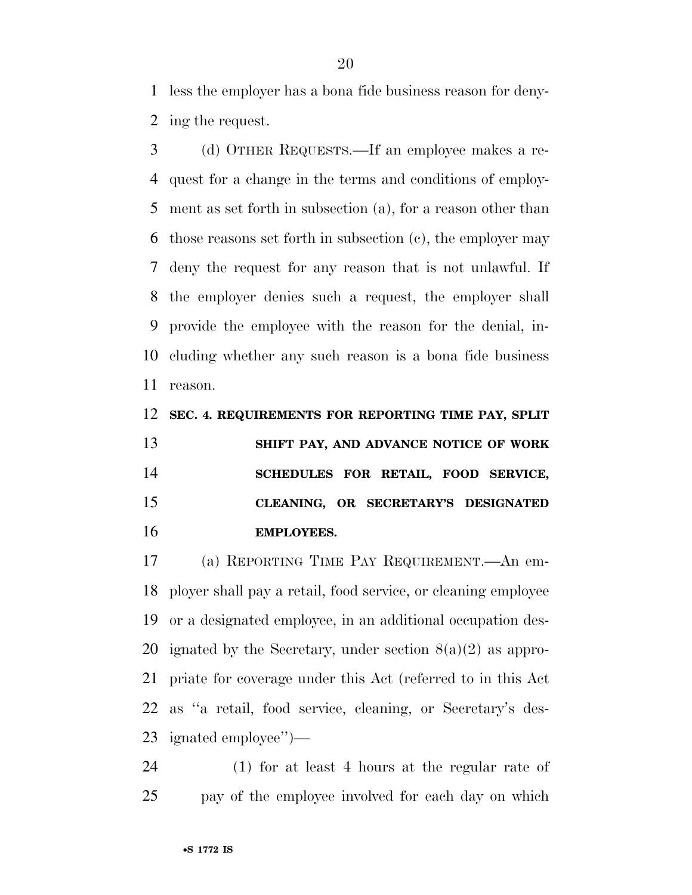less the employer has a bona fide business reason for deny-ing the request.

 (d) OTHER REQUESTS.—If an employee makes a re- quest for a change in the terms and conditions of employ- ment as set forth in subsection (a), for a reason other than those reasons set forth in subsection (c), the employer may deny the request for any reason that is not unlawful. If the employer denies such a request, the employer shall provide the employee with the reason for the denial, in- cluding whether any such reason is a bona fide business reason.

 **SEC. 4. REQUIREMENTS FOR REPORTING TIME PAY, SPLIT SHIFT PAY, AND ADVANCE NOTICE OF WORK SCHEDULES FOR RETAIL, FOOD SERVICE, CLEANING, OR SECRETARY'S DESIGNATED EMPLOYEES.** 

 (a) REPORTING TIME PAY REQUIREMENT.—An em- ployer shall pay a retail, food service, or cleaning employee or a designated employee, in an additional occupation des-20 ignated by the Secretary, under section  $8(a)(2)$  as appro- priate for coverage under this Act (referred to in this Act as ''a retail, food service, cleaning, or Secretary's des-ignated employee'')—

 (1) for at least 4 hours at the regular rate of pay of the employee involved for each day on which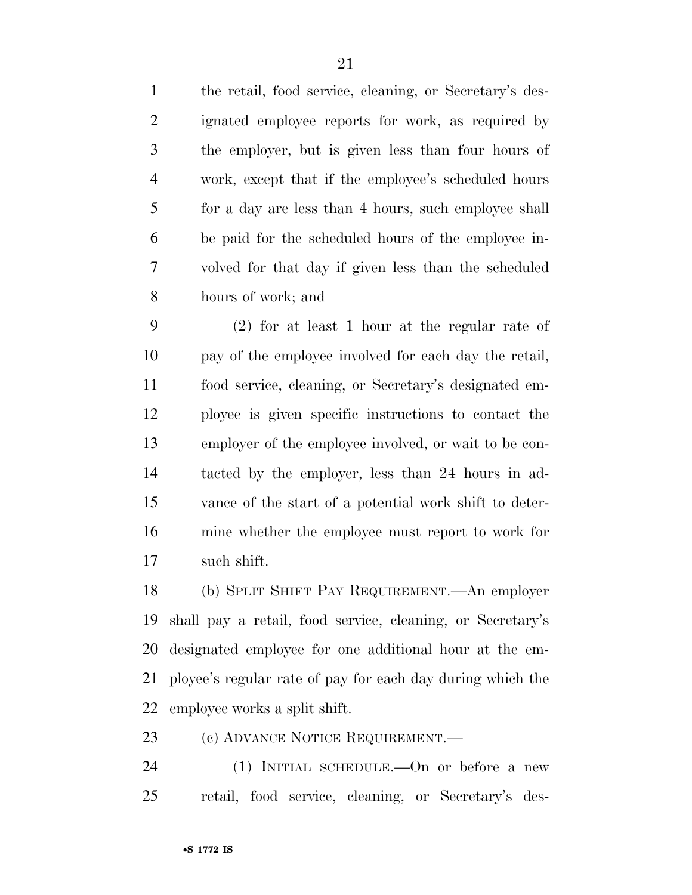the retail, food service, cleaning, or Secretary's des- ignated employee reports for work, as required by the employer, but is given less than four hours of work, except that if the employee's scheduled hours 5 for a day are less than 4 hours, such employee shall be paid for the scheduled hours of the employee in- volved for that day if given less than the scheduled hours of work; and

 (2) for at least 1 hour at the regular rate of pay of the employee involved for each day the retail, food service, cleaning, or Secretary's designated em- ployee is given specific instructions to contact the employer of the employee involved, or wait to be con- tacted by the employer, less than 24 hours in ad- vance of the start of a potential work shift to deter- mine whether the employee must report to work for such shift.

 (b) SPLIT SHIFT PAY REQUIREMENT.—An employer shall pay a retail, food service, cleaning, or Secretary's designated employee for one additional hour at the em- ployee's regular rate of pay for each day during which the employee works a split shift.

23 (c) ADVANCE NOTICE REQUIREMENT.

 (1) INITIAL SCHEDULE.—On or before a new retail, food service, cleaning, or Secretary's des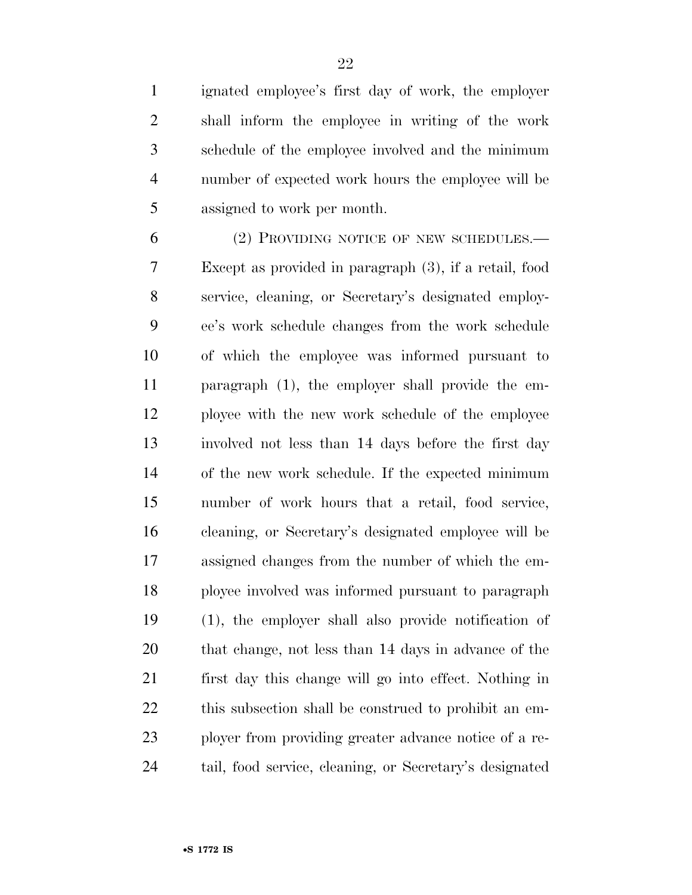ignated employee's first day of work, the employer shall inform the employee in writing of the work schedule of the employee involved and the minimum number of expected work hours the employee will be assigned to work per month.

 (2) PROVIDING NOTICE OF NEW SCHEDULES.— Except as provided in paragraph (3), if a retail, food service, cleaning, or Secretary's designated employ- ee's work schedule changes from the work schedule of which the employee was informed pursuant to paragraph (1), the employer shall provide the em- ployee with the new work schedule of the employee involved not less than 14 days before the first day of the new work schedule. If the expected minimum number of work hours that a retail, food service, cleaning, or Secretary's designated employee will be assigned changes from the number of which the em- ployee involved was informed pursuant to paragraph (1), the employer shall also provide notification of that change, not less than 14 days in advance of the first day this change will go into effect. Nothing in this subsection shall be construed to prohibit an em- ployer from providing greater advance notice of a re-tail, food service, cleaning, or Secretary's designated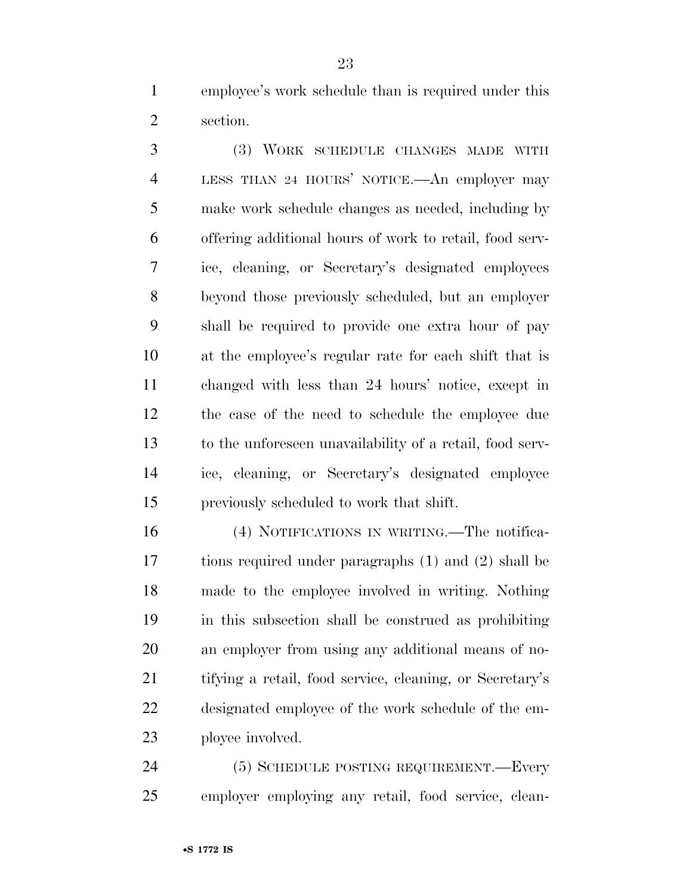employee's work schedule than is required under this section.

 (3) WORK SCHEDULE CHANGES MADE WITH LESS THAN 24 HOURS' NOTICE.—An employer may make work schedule changes as needed, including by offering additional hours of work to retail, food serv- ice, cleaning, or Secretary's designated employees beyond those previously scheduled, but an employer shall be required to provide one extra hour of pay at the employee's regular rate for each shift that is changed with less than 24 hours' notice, except in the case of the need to schedule the employee due to the unforeseen unavailability of a retail, food serv- ice, cleaning, or Secretary's designated employee previously scheduled to work that shift.

 (4) NOTIFICATIONS IN WRITING.—The notifica- tions required under paragraphs (1) and (2) shall be made to the employee involved in writing. Nothing in this subsection shall be construed as prohibiting an employer from using any additional means of no- tifying a retail, food service, cleaning, or Secretary's designated employee of the work schedule of the em-ployee involved.

 (5) SCHEDULE POSTING REQUIREMENT.—Every employer employing any retail, food service, clean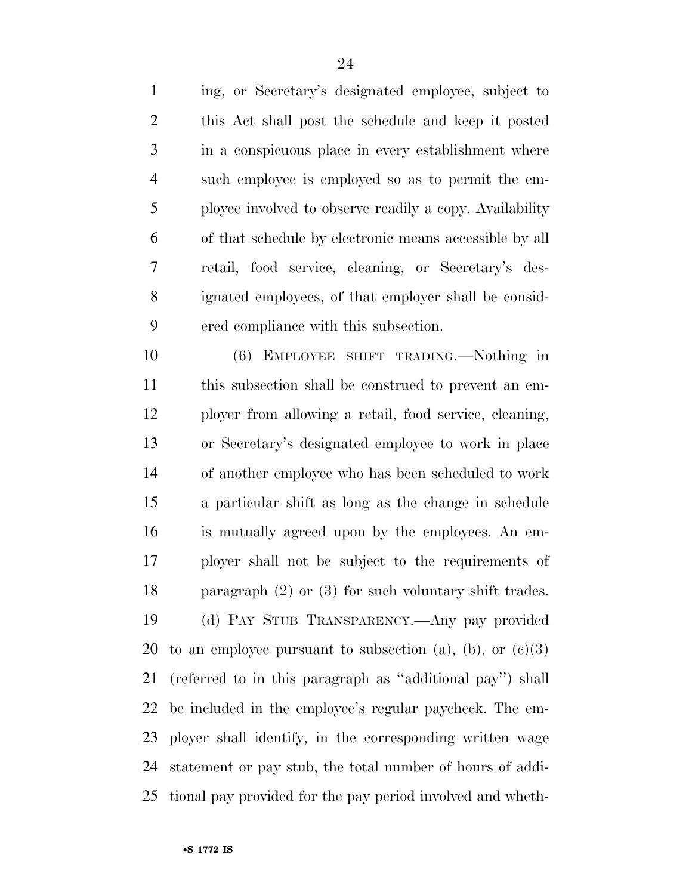ing, or Secretary's designated employee, subject to this Act shall post the schedule and keep it posted in a conspicuous place in every establishment where such employee is employed so as to permit the em- ployee involved to observe readily a copy. Availability of that schedule by electronic means accessible by all retail, food service, cleaning, or Secretary's des- ignated employees, of that employer shall be consid-ered compliance with this subsection.

 (6) EMPLOYEE SHIFT TRADING.—Nothing in this subsection shall be construed to prevent an em- ployer from allowing a retail, food service, cleaning, or Secretary's designated employee to work in place of another employee who has been scheduled to work a particular shift as long as the change in schedule is mutually agreed upon by the employees. An em- ployer shall not be subject to the requirements of paragraph (2) or (3) for such voluntary shift trades. (d) PAY STUB TRANSPARENCY.—Any pay provided 20 to an employee pursuant to subsection (a), (b), or  $(c)(3)$  (referred to in this paragraph as ''additional pay'') shall be included in the employee's regular paycheck. The em- ployer shall identify, in the corresponding written wage statement or pay stub, the total number of hours of addi-tional pay provided for the pay period involved and wheth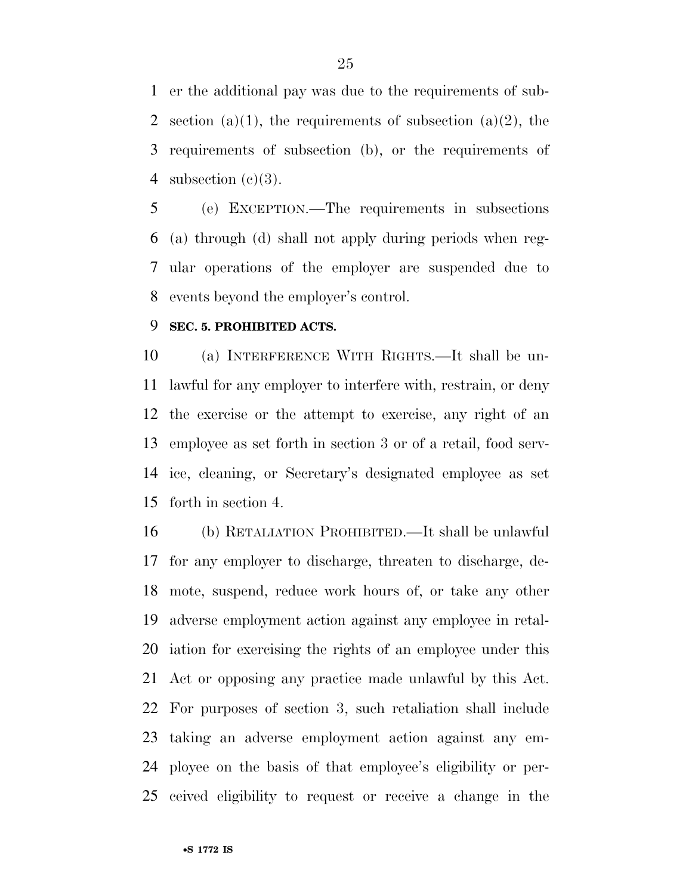er the additional pay was due to the requirements of sub-2 section (a)(1), the requirements of subsection (a)(2), the requirements of subsection (b), or the requirements of 4 subsection  $(e)(3)$ .

 (e) EXCEPTION.—The requirements in subsections (a) through (d) shall not apply during periods when reg- ular operations of the employer are suspended due to events beyond the employer's control.

#### **SEC. 5. PROHIBITED ACTS.**

 (a) INTERFERENCE WITH RIGHTS.—It shall be un- lawful for any employer to interfere with, restrain, or deny the exercise or the attempt to exercise, any right of an employee as set forth in section 3 or of a retail, food serv- ice, cleaning, or Secretary's designated employee as set forth in section 4.

 (b) RETALIATION PROHIBITED.—It shall be unlawful for any employer to discharge, threaten to discharge, de- mote, suspend, reduce work hours of, or take any other adverse employment action against any employee in retal- iation for exercising the rights of an employee under this Act or opposing any practice made unlawful by this Act. For purposes of section 3, such retaliation shall include taking an adverse employment action against any em- ployee on the basis of that employee's eligibility or per-ceived eligibility to request or receive a change in the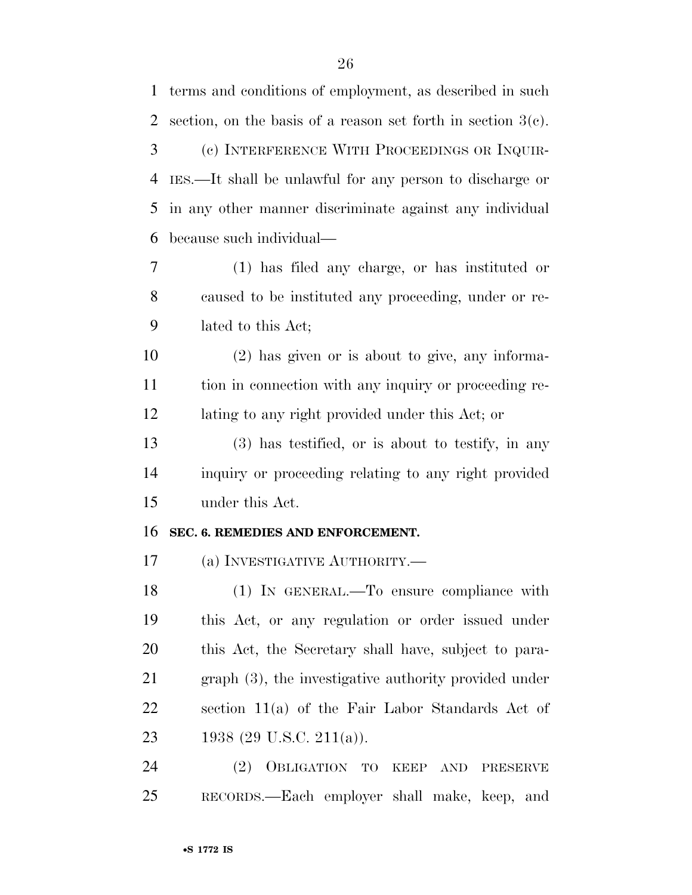| 1              | terms and conditions of employment, as described in such        |
|----------------|-----------------------------------------------------------------|
| $\overline{2}$ | section, on the basis of a reason set forth in section $3(c)$ . |
| 3              | (c) INTERFERENCE WITH PROCEEDINGS OR INQUIR-                    |
| $\overline{4}$ | IES.—It shall be unlawful for any person to discharge or        |
| 5              | in any other manner discriminate against any individual         |
| 6              | because such individual—                                        |
| 7              | $(1)$ has filed any charge, or has instituted or                |
| 8              | caused to be instituted any proceeding, under or re-            |
| 9              | lated to this Act;                                              |
| 10             | $(2)$ has given or is about to give, any informa-               |
| 11             | tion in connection with any inquiry or proceeding re-           |
| 12             | lating to any right provided under this Act; or                 |
| 13             | $(3)$ has testified, or is about to testify, in any             |
| 14             | inquiry or proceeding relating to any right provided            |
| 15             | under this Act.                                                 |
| 16             | SEC. 6. REMEDIES AND ENFORCEMENT.                               |
| 17             | (a) INVESTIGATIVE AUTHORITY.—                                   |
| 18             | $(1)$ In GENERAL.—To ensure compliance with                     |
| 19             | this Act, or any regulation or order issued under               |
| 20             | this Act, the Secretary shall have, subject to para-            |
| 21             | $graph(3)$ , the investigative authority provided under         |
| 22             | section 11(a) of the Fair Labor Standards Act of                |
| 23             | 1938 (29 U.S.C. 211(a)).                                        |
| 24             | (2) OBLIGATION TO KEEP AND<br>PRESERVE                          |
| 25             | RECORDS.—Each employer shall make, keep, and                    |
|                |                                                                 |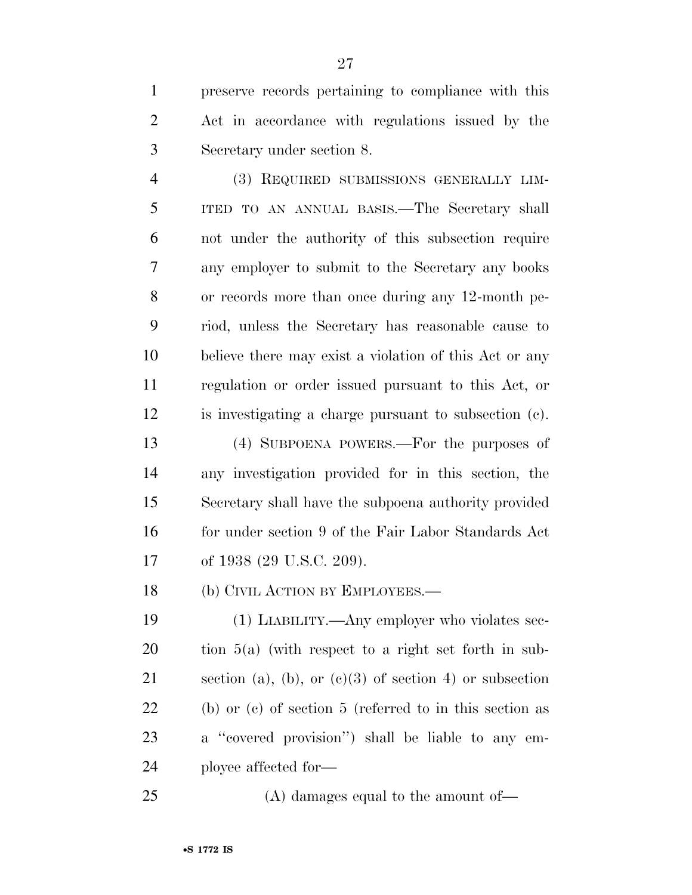preserve records pertaining to compliance with this Act in accordance with regulations issued by the Secretary under section 8.

 (3) REQUIRED SUBMISSIONS GENERALLY LIM- ITED TO AN ANNUAL BASIS.—The Secretary shall not under the authority of this subsection require any employer to submit to the Secretary any books or records more than once during any 12-month pe- riod, unless the Secretary has reasonable cause to believe there may exist a violation of this Act or any regulation or order issued pursuant to this Act, or is investigating a charge pursuant to subsection (c).

 (4) SUBPOENA POWERS.—For the purposes of any investigation provided for in this section, the Secretary shall have the subpoena authority provided 16 for under section 9 of the Fair Labor Standards Act 17 of 1938 (29 U.S.C. 209).

18 (b) CIVIL ACTION BY EMPLOYEES.—

 (1) LIABILITY.—Any employer who violates sec- tion 5(a) (with respect to a right set forth in sub-21 section (a), (b), or  $(e)(3)$  of section 4) or subsection (b) or (c) of section 5 (referred to in this section as a ''covered provision'') shall be liable to any em-ployee affected for—

25 (A) damages equal to the amount of—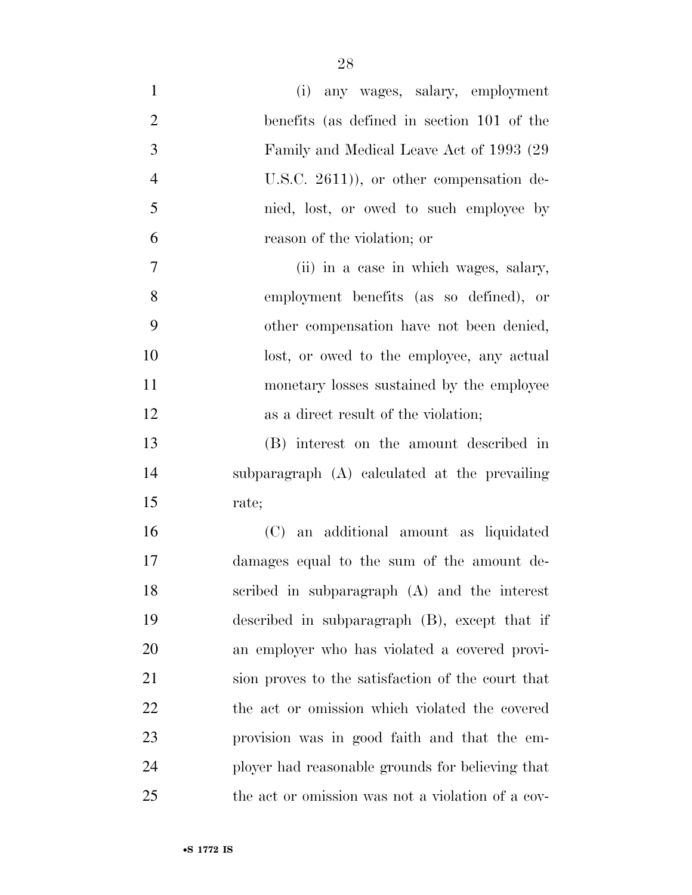| $\mathbf{1}$   | (i) any wages, salary, employment                 |
|----------------|---------------------------------------------------|
| $\overline{2}$ | benefits (as defined in section 101 of the        |
| 3              | Family and Medical Leave Act of 1993 (29)         |
| $\overline{4}$ | U.S.C. $2611$ ), or other compensation de-        |
| 5              | nied, lost, or owed to such employee by           |
| 6              | reason of the violation; or                       |
| $\tau$         | (ii) in a case in which wages, salary,            |
| 8              | employment benefits (as so defined), or           |
| 9              | other compensation have not been denied,          |
| 10             | lost, or owed to the employee, any actual         |
| 11             | monetary losses sustained by the employee         |
| 12             | as a direct result of the violation;              |
| 13             | (B) interest on the amount described in           |
| 14             | subparagraph (A) calculated at the prevailing     |
| 15             | rate;                                             |
| 16             | (C) an additional amount as liquidated            |
| 17             | damages equal to the sum of the amount de-        |
| 18             | scribed in subparagraph (A) and the interest      |
| 19             | described in subparagraph $(B)$ , except that if  |
| 20             | an employer who has violated a covered provi-     |
| 21             | sion proves to the satisfaction of the court that |
| 22             | the act or omission which violated the covered    |
| 23             | provision was in good faith and that the em-      |
| 24             | ployer had reasonable grounds for believing that  |
| 25             | the act or omission was not a violation of a cov- |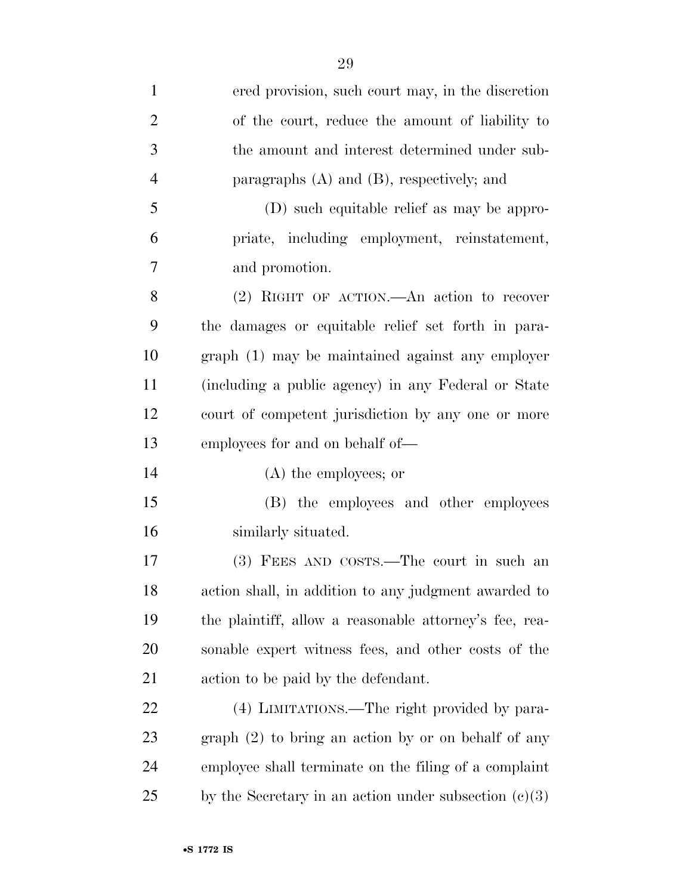| $\mathbf{1}$   | ered provision, such court may, in the discretion       |
|----------------|---------------------------------------------------------|
| $\overline{2}$ | of the court, reduce the amount of liability to         |
| 3              | the amount and interest determined under sub-           |
| $\overline{4}$ | paragraphs $(A)$ and $(B)$ , respectively; and          |
| 5              | (D) such equitable relief as may be appro-              |
| 6              | priate, including employment, reinstatement,            |
| 7              | and promotion.                                          |
| 8              | (2) RIGHT OF ACTION.—An action to recover               |
| 9              | the damages or equitable relief set forth in para-      |
| 10             | graph (1) may be maintained against any employer        |
| 11             | (including a public agency) in any Federal or State     |
| 12             | court of competent jurisdiction by any one or more      |
| 13             | employees for and on behalf of-                         |
| 14             | $(A)$ the employees; or                                 |
| 15             | (B) the employees and other employees                   |
| 16             | similarly situated.                                     |
| 17             | (3) FEES AND COSTS.—The court in such an                |
| 18             | action shall, in addition to any judgment awarded to    |
| 19             | the plaintiff, allow a reasonable attorney's fee, rea-  |
| 20             | sonable expert witness fees, and other costs of the     |
| 21             | action to be paid by the defendant.                     |
| 22             | (4) LIMITATIONS.—The right provided by para-            |
| 23             | graph (2) to bring an action by or on behalf of any     |
| 24             | employee shall terminate on the filing of a complaint   |
| 25             | by the Secretary in an action under subsection $(c)(3)$ |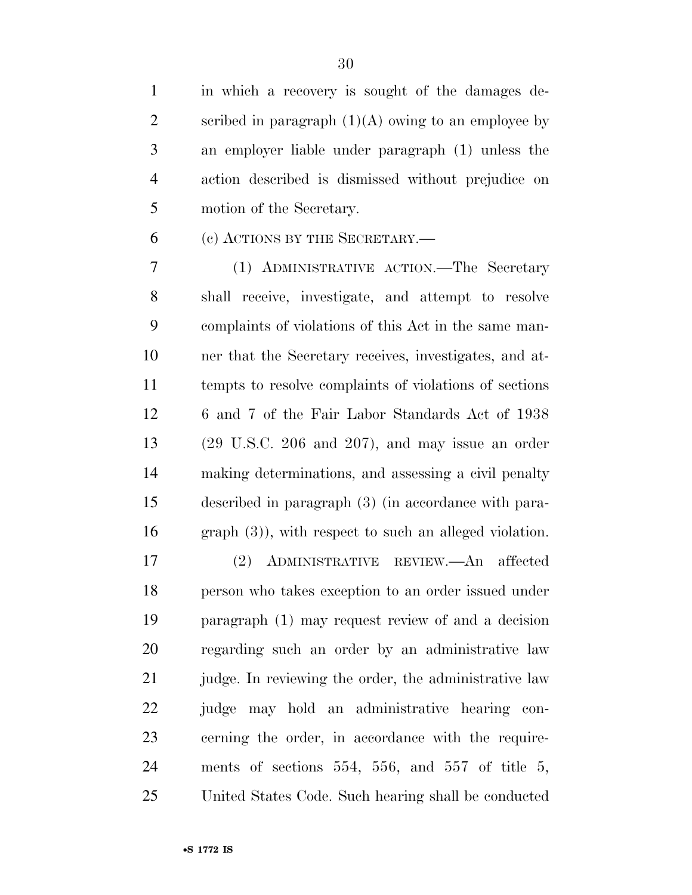in which a recovery is sought of the damages de-2 scribed in paragraph  $(1)(A)$  owing to an employee by an employer liable under paragraph (1) unless the action described is dismissed without prejudice on motion of the Secretary.

(c) ACTIONS BY THE SECRETARY.—

 (1) ADMINISTRATIVE ACTION.—The Secretary shall receive, investigate, and attempt to resolve complaints of violations of this Act in the same man- ner that the Secretary receives, investigates, and at- tempts to resolve complaints of violations of sections 6 and 7 of the Fair Labor Standards Act of 1938 (29 U.S.C. 206 and 207), and may issue an order making determinations, and assessing a civil penalty described in paragraph (3) (in accordance with para-graph (3)), with respect to such an alleged violation.

 (2) ADMINISTRATIVE REVIEW.—An affected person who takes exception to an order issued under paragraph (1) may request review of and a decision regarding such an order by an administrative law 21 judge. In reviewing the order, the administrative law judge may hold an administrative hearing con- cerning the order, in accordance with the require- ments of sections 554, 556, and 557 of title 5, United States Code. Such hearing shall be conducted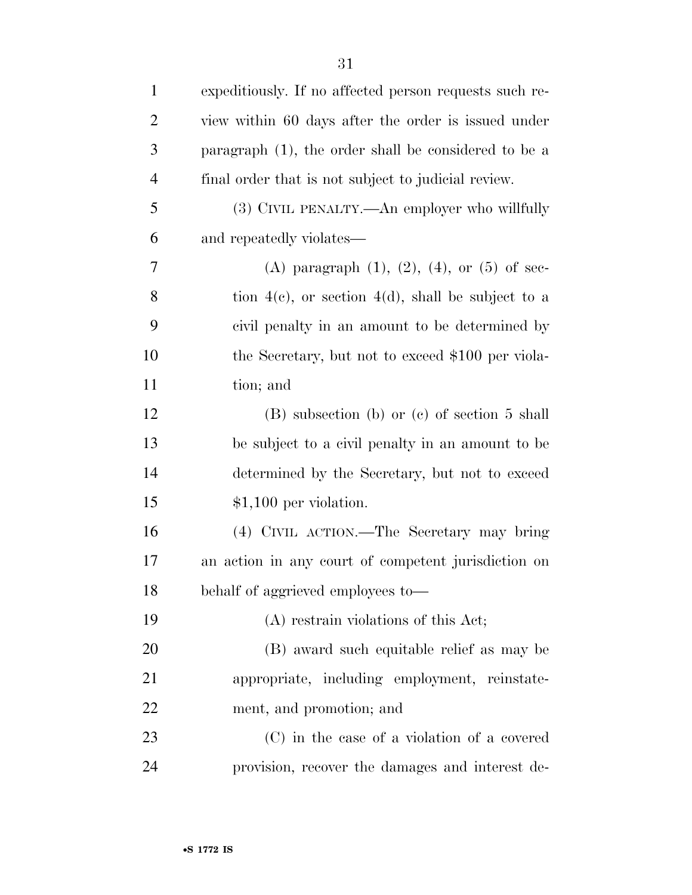| $\mathbf{1}$   | expeditiously. If no affected person requests such re-  |
|----------------|---------------------------------------------------------|
| $\overline{2}$ | view within 60 days after the order is issued under     |
| 3              | paragraph $(1)$ , the order shall be considered to be a |
| $\overline{4}$ | final order that is not subject to judicial review.     |
| 5              | (3) CIVIL PENALTY.—An employer who willfully            |
| 6              | and repeatedly violates—                                |
| 7              | (A) paragraph $(1)$ , $(2)$ , $(4)$ , or $(5)$ of sec-  |
| 8              | tion $4(c)$ , or section $4(d)$ , shall be subject to a |
| 9              | civil penalty in an amount to be determined by          |
| 10             | the Secretary, but not to exceed \$100 per viola-       |
| 11             | tion; and                                               |
| 12             | $(B)$ subsection $(b)$ or $(c)$ of section 5 shall      |
| 13             | be subject to a civil penalty in an amount to be        |
| 14             | determined by the Secretary, but not to exceed          |
| 15             | $$1,100$ per violation.                                 |
| 16             | (4) CIVIL ACTION.—The Secretary may bring               |
| 17             | an action in any court of competent jurisdiction on     |
| 18             | behalf of aggrieved employees to-                       |
| 19             | (A) restrain violations of this Act;                    |
| 20             | (B) award such equitable relief as may be               |
| 21             | appropriate, including employment, reinstate-           |
| 22             | ment, and promotion; and                                |
| 23             | (C) in the case of a violation of a covered             |
| 24             | provision, recover the damages and interest de-         |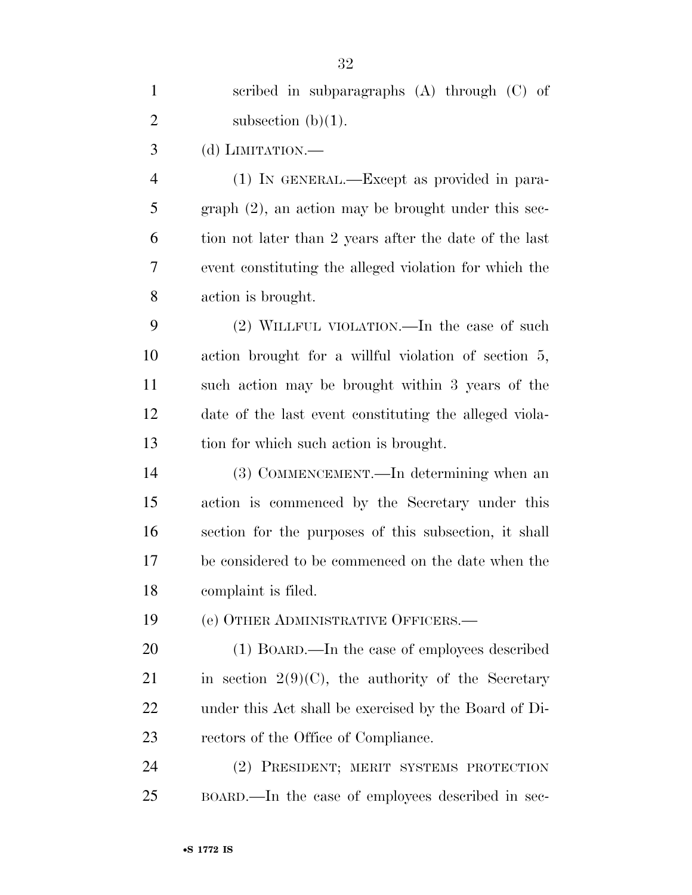| $\mathbf{1}$   | scribed in subparagraphs $(A)$ through $(C)$ of        |
|----------------|--------------------------------------------------------|
| $\overline{2}$ | subsection $(b)(1)$ .                                  |
| 3              | (d) LIMITATION.—                                       |
| $\overline{4}$ | (1) IN GENERAL.—Except as provided in para-            |
| 5              | $graph (2)$ , an action may be brought under this sec- |
| 6              | tion not later than 2 years after the date of the last |
| 7              | event constituting the alleged violation for which the |
| 8              | action is brought.                                     |
| 9              | $(2)$ WILLFUL VIOLATION.—In the case of such           |
| 10             | action brought for a willful violation of section 5,   |
| 11             | such action may be brought within 3 years of the       |
| 12             | date of the last event constituting the alleged viola- |
| 13             | tion for which such action is brought.                 |
| 14             | (3) COMMENCEMENT.—In determining when an               |
| 15             | action is commenced by the Secretary under this        |
| 16             | section for the purposes of this subsection, it shall  |
| 17             | be considered to be commenced on the date when the     |
| 18             | complaint is filed.                                    |
| 19             | (e) OTHER ADMINISTRATIVE OFFICERS.-                    |
| 20             | (1) BOARD.—In the case of employees described          |
| 21             | in section $2(9)(C)$ , the authority of the Secretary  |
| 22             | under this Act shall be exercised by the Board of Di-  |
| 23             | rectors of the Office of Compliance.                   |
| 24             | (2) PRESIDENT; MERIT SYSTEMS PROTECTION                |
| 25             | BOARD.—In the case of employees described in sec-      |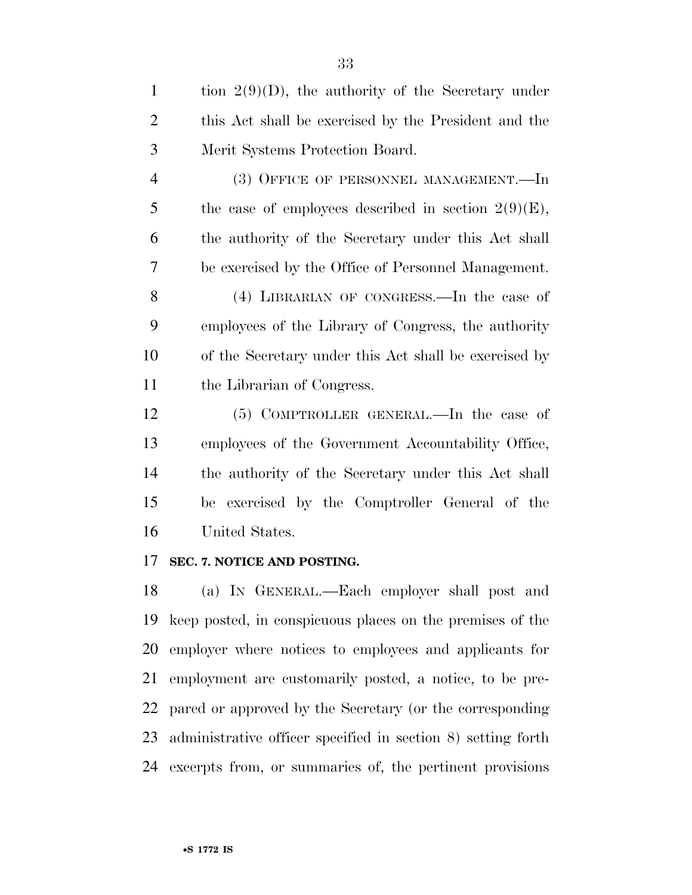| $\mathbf{1}$   | tion $2(9)(D)$ , the authority of the Secretary under  |
|----------------|--------------------------------------------------------|
| $\overline{2}$ | this Act shall be exercised by the President and the   |
| 3              | Merit Systems Protection Board.                        |
| 4              | (3) OFFICE OF PERSONNEL MANAGEMENT.—In                 |
| 5              | the case of employees described in section $2(9)(E)$ , |
| 6              | the authority of the Secretary under this Act shall    |
| 7              | be exercised by the Office of Personnel Management.    |
| 8              | (4) LIBRARIAN OF CONGRESS.—In the case of              |
| 9              | employees of the Library of Congress, the authority    |
| 10             | of the Secretary under this Act shall be exercised by  |
| 11             | the Librarian of Congress.                             |
| 12             | (5) COMPTROLLER GENERAL.—In the case of                |
| 13             | employees of the Government Accountability Office,     |
| 14             | the authority of the Secretary under this Act shall    |
| 15             | be exercised by the Comptroller General of the         |

United States.

## **SEC. 7. NOTICE AND POSTING.**

 (a) IN GENERAL.—Each employer shall post and keep posted, in conspicuous places on the premises of the employer where notices to employees and applicants for employment are customarily posted, a notice, to be pre- pared or approved by the Secretary (or the corresponding administrative officer specified in section 8) setting forth excerpts from, or summaries of, the pertinent provisions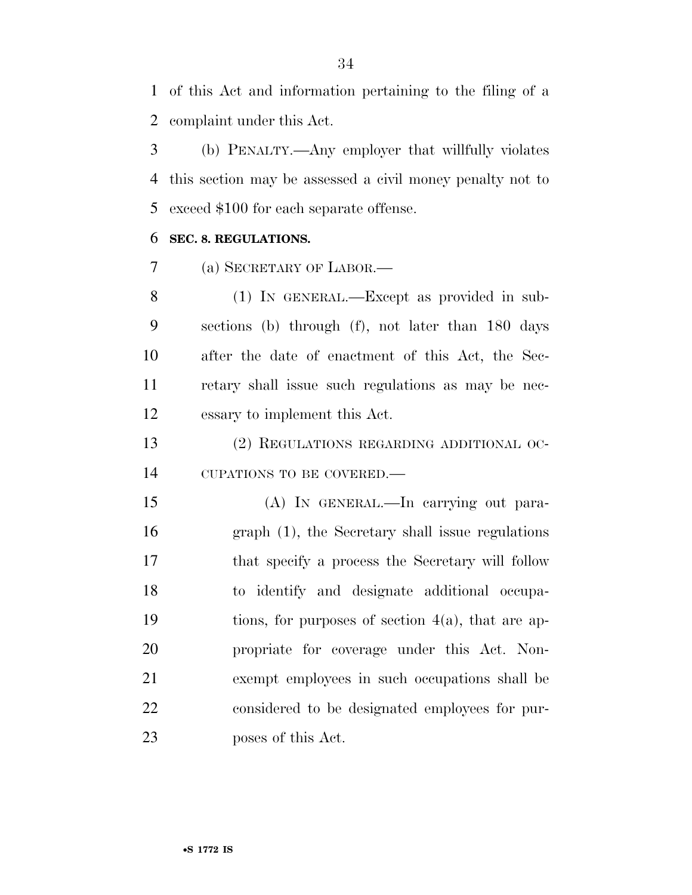of this Act and information pertaining to the filing of a complaint under this Act.

 (b) PENALTY.—Any employer that willfully violates this section may be assessed a civil money penalty not to exceed \$100 for each separate offense.

## **SEC. 8. REGULATIONS.**

(a) SECRETARY OF LABOR.—

 (1) IN GENERAL.—Except as provided in sub- sections (b) through (f), not later than 180 days after the date of enactment of this Act, the Sec- retary shall issue such regulations as may be nec-essary to implement this Act.

 (2) REGULATIONS REGARDING ADDITIONAL OC-CUPATIONS TO BE COVERED.—

 (A) IN GENERAL.—In carrying out para- graph (1), the Secretary shall issue regulations that specify a process the Secretary will follow to identify and designate additional occupa- tions, for purposes of section 4(a), that are ap- propriate for coverage under this Act. Non- exempt employees in such occupations shall be considered to be designated employees for pur-poses of this Act.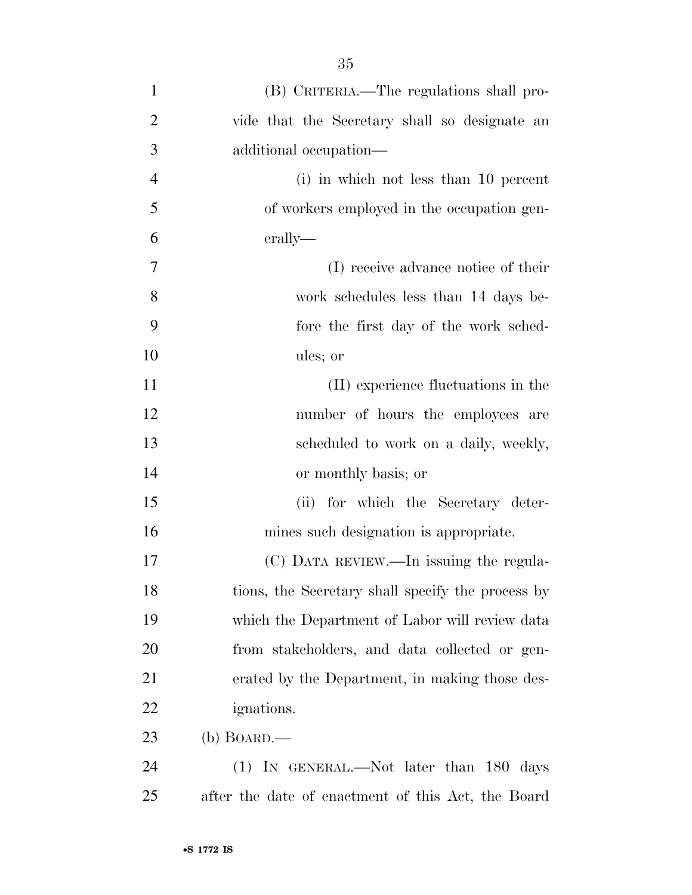| $\mathbf{1}$   | (B) CRITERIA.—The regulations shall pro-           |
|----------------|----------------------------------------------------|
| $\overline{2}$ | vide that the Secretary shall so designate an      |
| 3              | additional occupation—                             |
| $\overline{4}$ | (i) in which not less than 10 percent              |
| 5              | of workers employed in the occupation gen-         |
| 6              | erally—                                            |
| 7              | (I) receive advance notice of their                |
| 8              | work schedules less than 14 days be-               |
| 9              | fore the first day of the work sched-              |
| 10             | ules; or                                           |
| 11             | (II) experience fluctuations in the                |
| 12             | number of hours the employees are                  |
| 13             | scheduled to work on a daily, weekly,              |
| 14             | or monthly basis; or                               |
| 15             | (ii) for which the Secretary deter-                |
| 16             | mines such designation is appropriate.             |
| 17             | (C) DATA REVIEW.—In issuing the regula-            |
| 18             | tions, the Secretary shall specify the process by  |
| 19             | which the Department of Labor will review data     |
| 20             | from stakeholders, and data collected or gen-      |
| 21             | erated by the Department, in making those des-     |
| 22             | <i>ignations.</i>                                  |
| 23             | $(b)$ BOARD.—                                      |
| 24             | $(1)$ IN GENERAL.—Not later than 180<br>days       |
| 25             | after the date of enactment of this Act, the Board |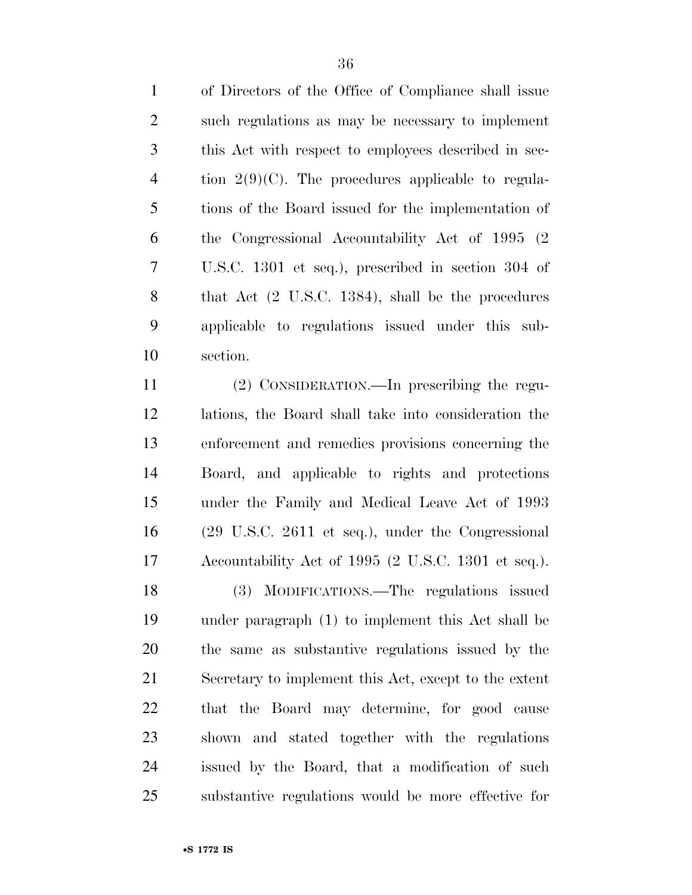of Directors of the Office of Compliance shall issue such regulations as may be necessary to implement this Act with respect to employees described in sec-4 tion  $2(9)(C)$ . The procedures applicable to regula- tions of the Board issued for the implementation of the Congressional Accountability Act of 1995 (2 U.S.C. 1301 et seq.), prescribed in section 304 of that Act (2 U.S.C. 1384), shall be the procedures applicable to regulations issued under this sub-section.

 (2) CONSIDERATION.—In prescribing the regu- lations, the Board shall take into consideration the enforcement and remedies provisions concerning the Board, and applicable to rights and protections under the Family and Medical Leave Act of 1993 (29 U.S.C. 2611 et seq.), under the Congressional Accountability Act of 1995 (2 U.S.C. 1301 et seq.). (3) MODIFICATIONS.—The regulations issued under paragraph (1) to implement this Act shall be the same as substantive regulations issued by the Secretary to implement this Act, except to the extent that the Board may determine, for good cause shown and stated together with the regulations issued by the Board, that a modification of such substantive regulations would be more effective for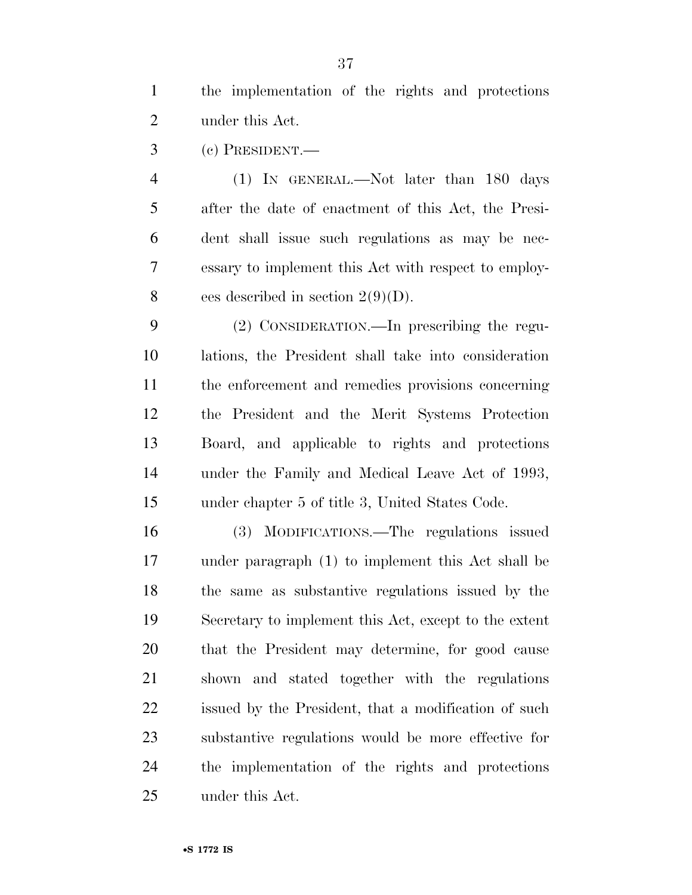the implementation of the rights and protections under this Act.

(c) PRESIDENT.—

 (1) IN GENERAL.—Not later than 180 days after the date of enactment of this Act, the Presi- dent shall issue such regulations as may be nec- essary to implement this Act with respect to employ-8 ees described in section  $2(9)(D)$ .

 (2) CONSIDERATION.—In prescribing the regu- lations, the President shall take into consideration the enforcement and remedies provisions concerning the President and the Merit Systems Protection Board, and applicable to rights and protections under the Family and Medical Leave Act of 1993, under chapter 5 of title 3, United States Code.

 (3) MODIFICATIONS.—The regulations issued under paragraph (1) to implement this Act shall be the same as substantive regulations issued by the Secretary to implement this Act, except to the extent that the President may determine, for good cause shown and stated together with the regulations issued by the President, that a modification of such substantive regulations would be more effective for the implementation of the rights and protections under this Act.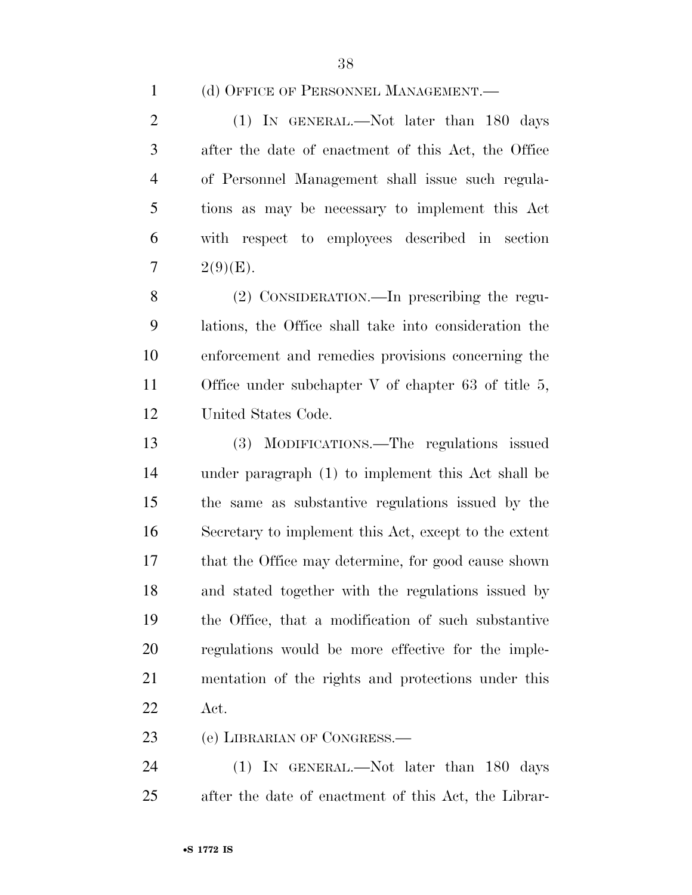(d) OFFICE OF PERSONNEL MANAGEMENT.—

2 (1) IN GENERAL.—Not later than 180 days after the date of enactment of this Act, the Office of Personnel Management shall issue such regula- tions as may be necessary to implement this Act with respect to employees described in section 7  $2(9)(E)$ .

 (2) CONSIDERATION.—In prescribing the regu- lations, the Office shall take into consideration the enforcement and remedies provisions concerning the Office under subchapter V of chapter 63 of title 5, United States Code.

 (3) MODIFICATIONS.—The regulations issued under paragraph (1) to implement this Act shall be the same as substantive regulations issued by the Secretary to implement this Act, except to the extent that the Office may determine, for good cause shown and stated together with the regulations issued by the Office, that a modification of such substantive regulations would be more effective for the imple- mentation of the rights and protections under this Act.

(e) LIBRARIAN OF CONGRESS.—

 (1) IN GENERAL.—Not later than 180 days after the date of enactment of this Act, the Librar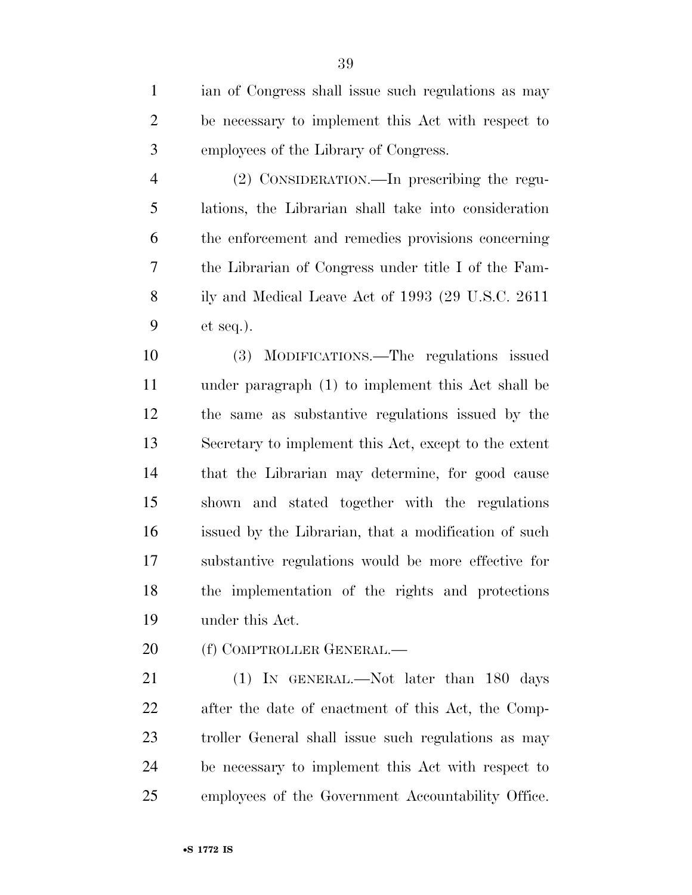ian of Congress shall issue such regulations as may be necessary to implement this Act with respect to employees of the Library of Congress.

 (2) CONSIDERATION.—In prescribing the regu- lations, the Librarian shall take into consideration the enforcement and remedies provisions concerning the Librarian of Congress under title I of the Fam- ily and Medical Leave Act of 1993 (29 U.S.C. 2611 et seq.).

 (3) MODIFICATIONS.—The regulations issued under paragraph (1) to implement this Act shall be the same as substantive regulations issued by the Secretary to implement this Act, except to the extent that the Librarian may determine, for good cause shown and stated together with the regulations issued by the Librarian, that a modification of such substantive regulations would be more effective for the implementation of the rights and protections under this Act.

20 (f) COMPTROLLER GENERAL.—

21 (1) IN GENERAL.—Not later than 180 days after the date of enactment of this Act, the Comp- troller General shall issue such regulations as may be necessary to implement this Act with respect to employees of the Government Accountability Office.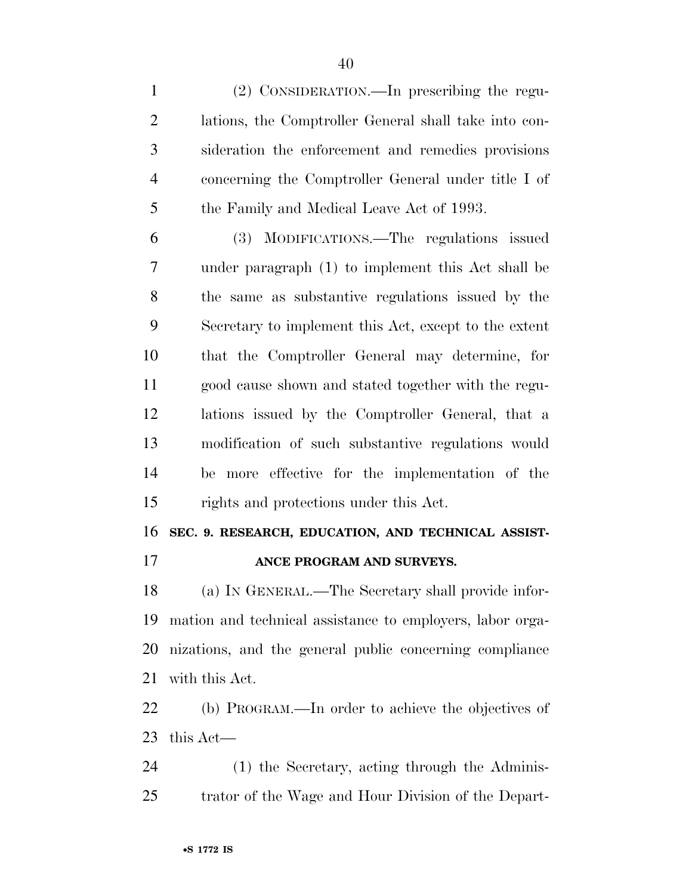(2) CONSIDERATION.—In prescribing the regu- lations, the Comptroller General shall take into con- sideration the enforcement and remedies provisions concerning the Comptroller General under title I of the Family and Medical Leave Act of 1993.

 (3) MODIFICATIONS.—The regulations issued under paragraph (1) to implement this Act shall be the same as substantive regulations issued by the Secretary to implement this Act, except to the extent that the Comptroller General may determine, for good cause shown and stated together with the regu- lations issued by the Comptroller General, that a modification of such substantive regulations would be more effective for the implementation of the rights and protections under this Act.

**SEC. 9. RESEARCH, EDUCATION, AND TECHNICAL ASSIST-**

**ANCE PROGRAM AND SURVEYS.** 

 (a) IN GENERAL.—The Secretary shall provide infor- mation and technical assistance to employers, labor orga- nizations, and the general public concerning compliance with this Act.

 (b) PROGRAM.—In order to achieve the objectives of this Act—

 (1) the Secretary, acting through the Adminis-trator of the Wage and Hour Division of the Depart-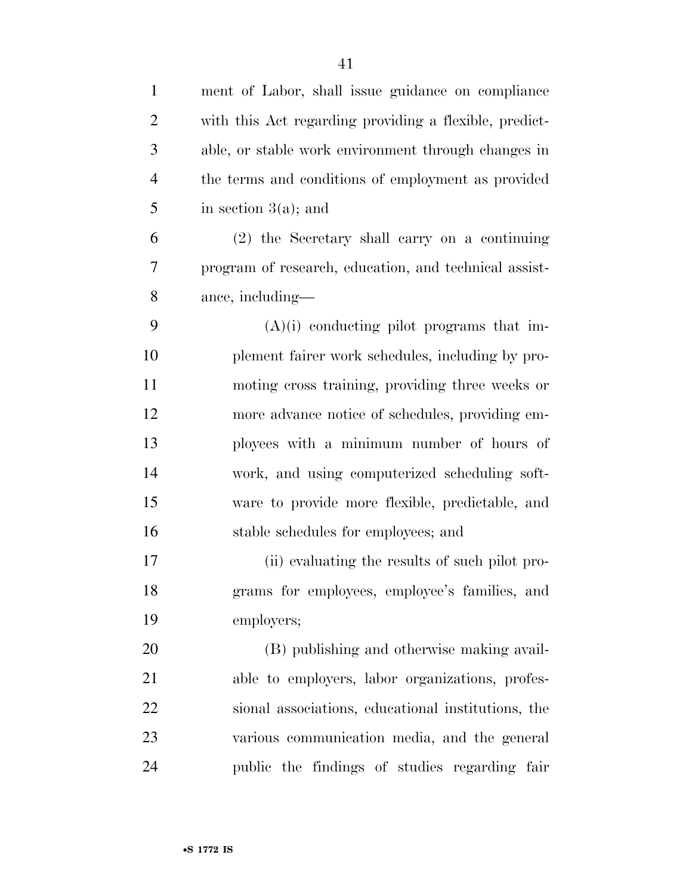| $\mathbf{1}$   | ment of Labor, shall issue guidance on compliance      |
|----------------|--------------------------------------------------------|
| $\overline{2}$ | with this Act regarding providing a flexible, predict- |
| 3              | able, or stable work environment through changes in    |
| $\overline{4}$ | the terms and conditions of employment as provided     |
| 5              | in section $3(a)$ ; and                                |
| 6              | (2) the Secretary shall carry on a continuing          |
| 7              | program of research, education, and technical assist-  |
| 8              | ance, including—                                       |
| 9              | $(A)(i)$ conducting pilot programs that im-            |
| 10             | plement fairer work schedules, including by pro-       |
| 11             | moting cross training, providing three weeks or        |
| 12             | more advance notice of schedules, providing em-        |
| 13             | ployees with a minimum number of hours of              |
| 14             | work, and using computerized scheduling soft-          |
| 15             | ware to provide more flexible, predictable, and        |
| 16             | stable schedules for employees; and                    |
| 17             | (ii) evaluating the results of such pilot pro-         |
| 18             | grams for employees, employee's families, and          |
| 19             | employers;                                             |
| 20             | (B) publishing and otherwise making avail-             |
| 21             | able to employers, labor organizations, profes-        |
| 22             | sional associations, educational institutions, the     |
| 23             | various communication media, and the general           |
| 24             | public the findings of studies regarding fair          |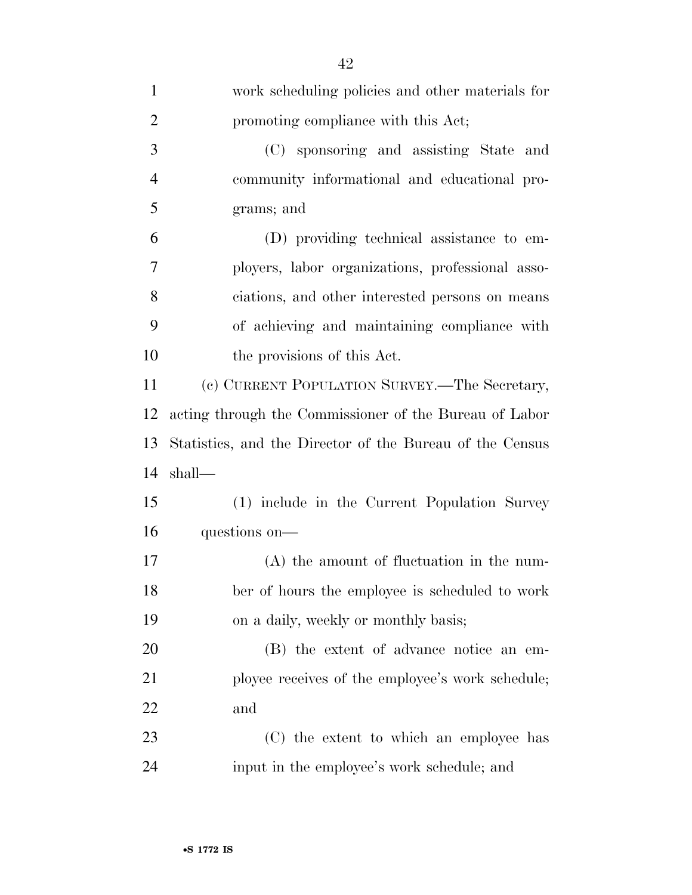| $\mathbf{1}$   | work scheduling policies and other materials for         |
|----------------|----------------------------------------------------------|
| $\overline{2}$ | promoting compliance with this Act;                      |
| 3              | (C) sponsoring and assisting State<br>and                |
| $\overline{4}$ | community informational and educational pro-             |
| 5              | grams; and                                               |
| 6              | (D) providing technical assistance to em-                |
| 7              | ployers, labor organizations, professional asso-         |
| 8              | ciations, and other interested persons on means          |
| 9              | of achieving and maintaining compliance with             |
| 10             | the provisions of this Act.                              |
| 11             | (c) CURRENT POPULATION SURVEY.—The Secretary,            |
| 12             | acting through the Commissioner of the Bureau of Labor   |
| 13             | Statistics, and the Director of the Bureau of the Census |
| 14             | shall—                                                   |
| 15             | (1) include in the Current Population Survey             |
| 16             | questions on—                                            |
| 17             | $(A)$ the amount of fluctuation in the num-              |
| 18             | ber of hours the employee is scheduled to work           |
| 19             | on a daily, weekly or monthly basis;                     |
| 20             | (B) the extent of advance notice an em-                  |
| 21             | ployee receives of the employee's work schedule;         |
| 22             | and                                                      |
| 23             | (C) the extent to which an employee has                  |
| 24             | input in the employee's work schedule; and               |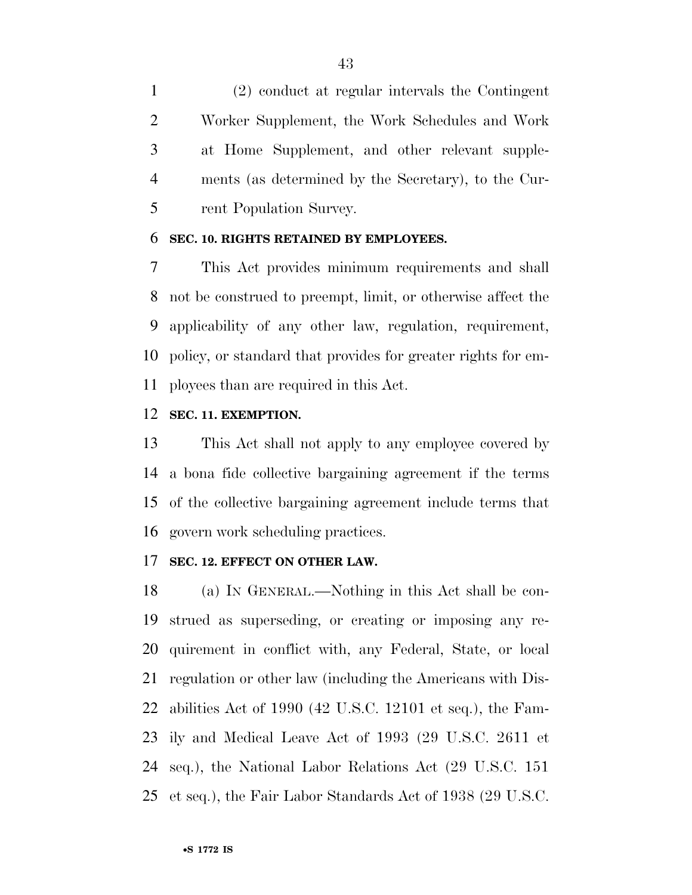(2) conduct at regular intervals the Contingent Worker Supplement, the Work Schedules and Work at Home Supplement, and other relevant supple- ments (as determined by the Secretary), to the Cur-rent Population Survey.

#### **SEC. 10. RIGHTS RETAINED BY EMPLOYEES.**

 This Act provides minimum requirements and shall not be construed to preempt, limit, or otherwise affect the applicability of any other law, regulation, requirement, policy, or standard that provides for greater rights for em-ployees than are required in this Act.

#### **SEC. 11. EXEMPTION.**

 This Act shall not apply to any employee covered by a bona fide collective bargaining agreement if the terms of the collective bargaining agreement include terms that govern work scheduling practices.

#### **SEC. 12. EFFECT ON OTHER LAW.**

 (a) IN GENERAL.—Nothing in this Act shall be con- strued as superseding, or creating or imposing any re- quirement in conflict with, any Federal, State, or local regulation or other law (including the Americans with Dis- abilities Act of 1990 (42 U.S.C. 12101 et seq.), the Fam- ily and Medical Leave Act of 1993 (29 U.S.C. 2611 et seq.), the National Labor Relations Act (29 U.S.C. 151 et seq.), the Fair Labor Standards Act of 1938 (29 U.S.C.